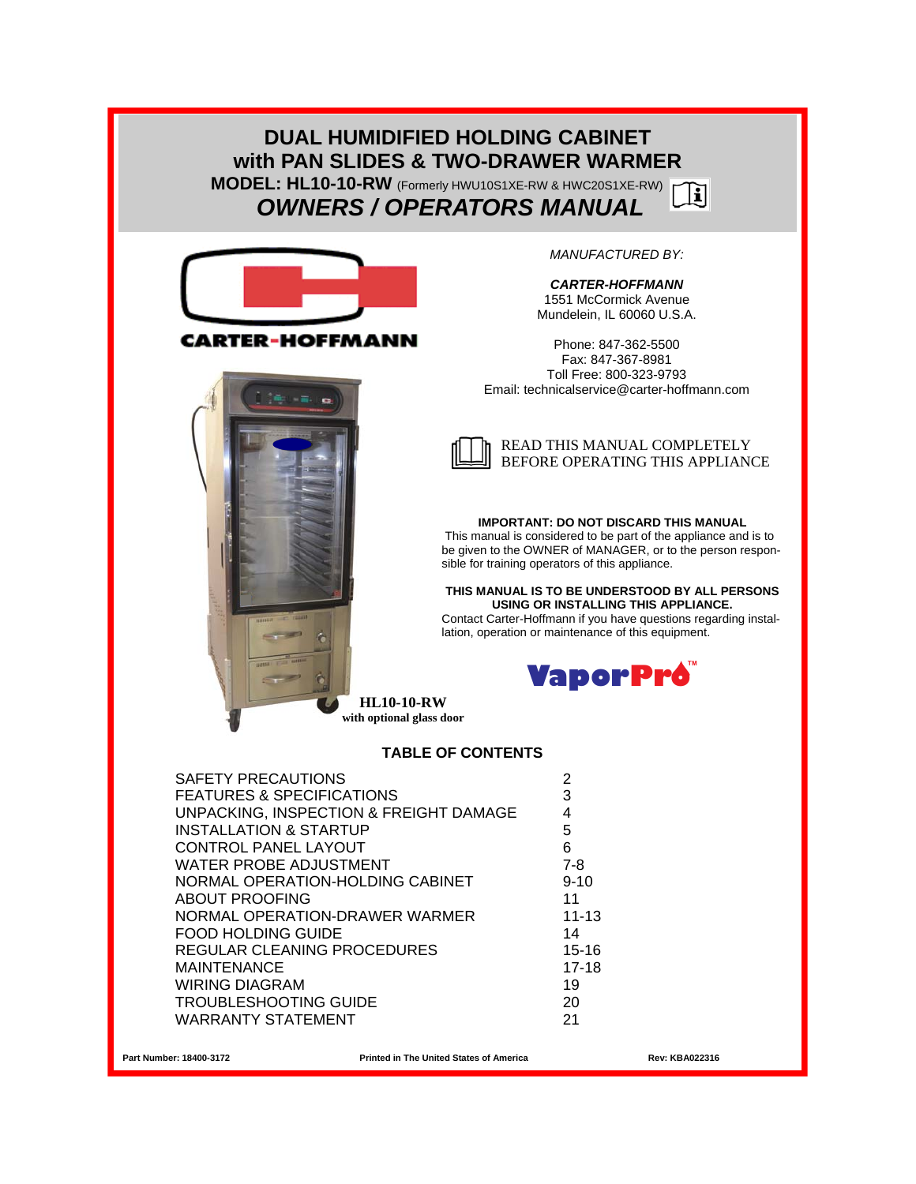### **DUAL HUMIDIFIED HOLDING CABINET with PAN SLIDES & TWO-DRAWER WARMER MODEL: HL10-10-RW** (Formerly HWU10S1XE-RW & HWC20S1XE-RW)  $\mathbf{H}$  *OWNERS / OPERATORS MANUAL*



CARTER-HOFFMANN



*MANUFACTURED BY:* 

*CARTER-HOFFMANN*  1551 McCormick Avenue Mundelein, IL 60060 U.S.A.

Phone: 847-362-5500 Fax: 847-367-8981 Toll Free: 800-323-9793 Email: technicalservice@carter-hoffmann.com



#### **IMPORTANT: DO NOT DISCARD THIS MANUAL**

This manual is considered to be part of the appliance and is to be given to the OWNER of MANAGER, or to the person responsible for training operators of this appliance.

#### **THIS MANUAL IS TO BE UNDERSTOOD BY ALL PERSONS USING OR INSTALLING THIS APPLIANCE.**

Contact Carter-Hoffmann if you have questions regarding installation, operation or maintenance of this equipment.



**HL10-10-RW with optional glass door** 

#### **TABLE OF CONTENTS**

| <b>SAFETY PRECAUTIONS</b>              | 2         |
|----------------------------------------|-----------|
| <b>FEATURES &amp; SPECIFICATIONS</b>   | 3         |
| UNPACKING, INSPECTION & FREIGHT DAMAGE |           |
| <b>INSTALLATION &amp; STARTUP</b>      | 5         |
| <b>CONTROL PANEL LAYOUT</b>            | 6         |
| WATER PROBE ADJUSTMENT                 | 7-8       |
| NORMAL OPERATION-HOLDING CABINET       | $9 - 10$  |
| <b>ABOUT PROOFING</b>                  | 11        |
| NORMAL OPERATION-DRAWER WARMER         | $11 - 13$ |
| <b>FOOD HOLDING GUIDE</b>              | 14        |
| REGULAR CLEANING PROCEDURES            | $15 - 16$ |
| <b>MAINTENANCE</b>                     | $17-18$   |
| <b>WIRING DIAGRAM</b>                  | 19        |
| <b>TROUBLESHOOTING GUIDE</b>           | 20        |
| WARRANTY STATEMENT                     | 21        |
|                                        |           |

**Part Number: 18400-3172 Printed in The United States of America Rev: KBA022316**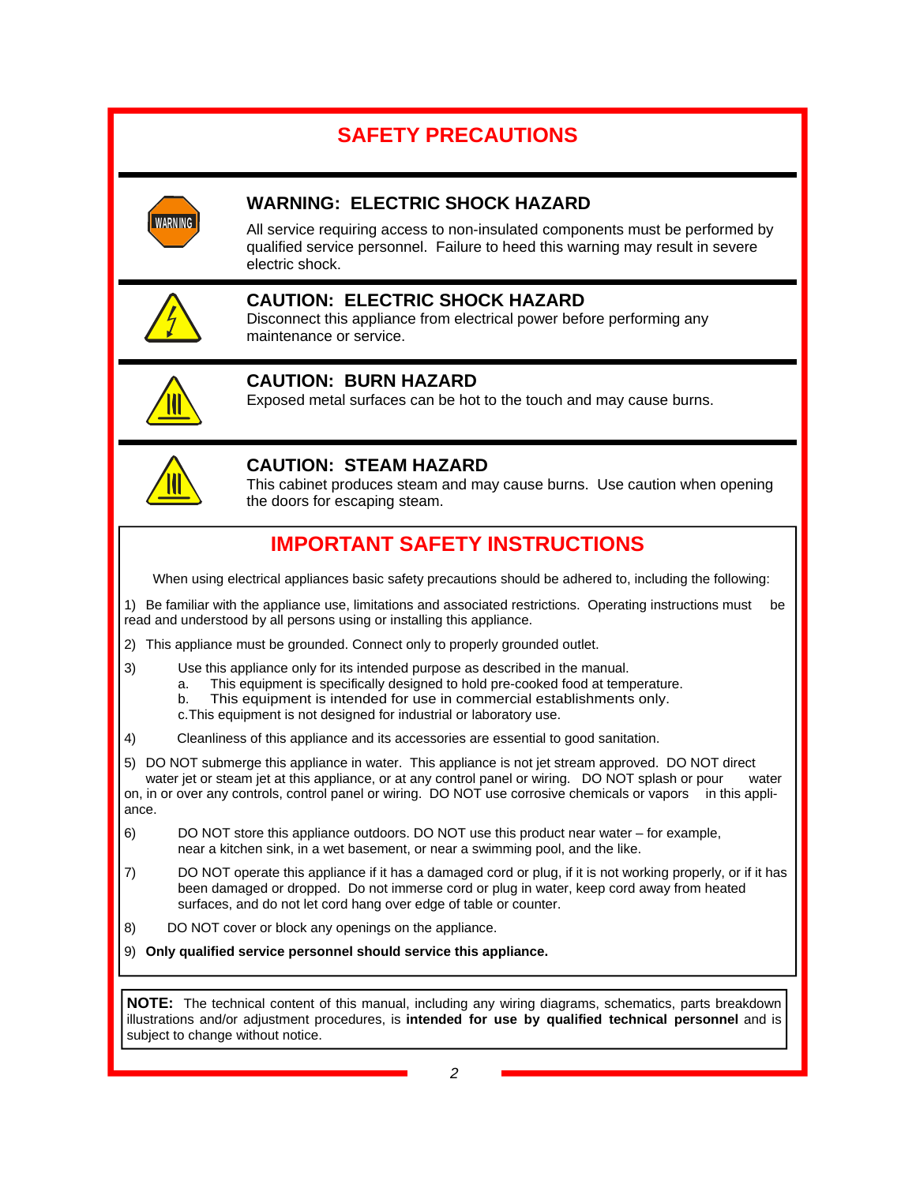# **SAFETY PRECAUTIONS**



### **WARNING: ELECTRIC SHOCK HAZARD**

All service requiring access to non-insulated components must be performed by qualified service personnel. Failure to heed this warning may result in severe electric shock.



### **CAUTION: ELECTRIC SHOCK HAZARD**

Disconnect this appliance from electrical power before performing any maintenance or service.



### **CAUTION: BURN HAZARD**

Exposed metal surfaces can be hot to the touch and may cause burns.



### **CAUTION: STEAM HAZARD**

This cabinet produces steam and may cause burns. Use caution when opening the doors for escaping steam.

# **IMPORTANT SAFETY INSTRUCTIONS**

When using electrical appliances basic safety precautions should be adhered to, including the following:

1) Be familiar with the appliance use, limitations and associated restrictions. Operating instructions must be read and understood by all persons using or installing this appliance.

2) This appliance must be grounded. Connect only to properly grounded outlet.

- 3) Use this appliance only for its intended purpose as described in the manual.
	- a. This equipment is specifically designed to hold pre-cooked food at temperature.
	- b. This equipment is intended for use in commercial establishments only.
	- c. This equipment is not designed for industrial or laboratory use.
- 4) Cleanliness of this appliance and its accessories are essential to good sanitation.

5) DO NOT submerge this appliance in water. This appliance is not jet stream approved. DO NOT direct water jet or steam jet at this appliance, or at any control panel or wiring. DO NOT splash or pour water on, in or over any controls, control panel or wiring. DO NOT use corrosive chemicals or vapors in this appliance.

6) DO NOT store this appliance outdoors. DO NOT use this product near water – for example, near a kitchen sink, in a wet basement, or near a swimming pool, and the like.

- 7) DO NOT operate this appliance if it has a damaged cord or plug, if it is not working properly, or if it has been damaged or dropped. Do not immerse cord or plug in water, keep cord away from heated surfaces, and do not let cord hang over edge of table or counter.
- 8) DO NOT cover or block any openings on the appliance.

9) **Only qualified service personnel should service this appliance.** 

**NOTE:** The technical content of this manual, including any wiring diagrams, schematics, parts breakdown illustrations and/or adjustment procedures, is **intended for use by qualified technical personnel** and is subject to change without notice.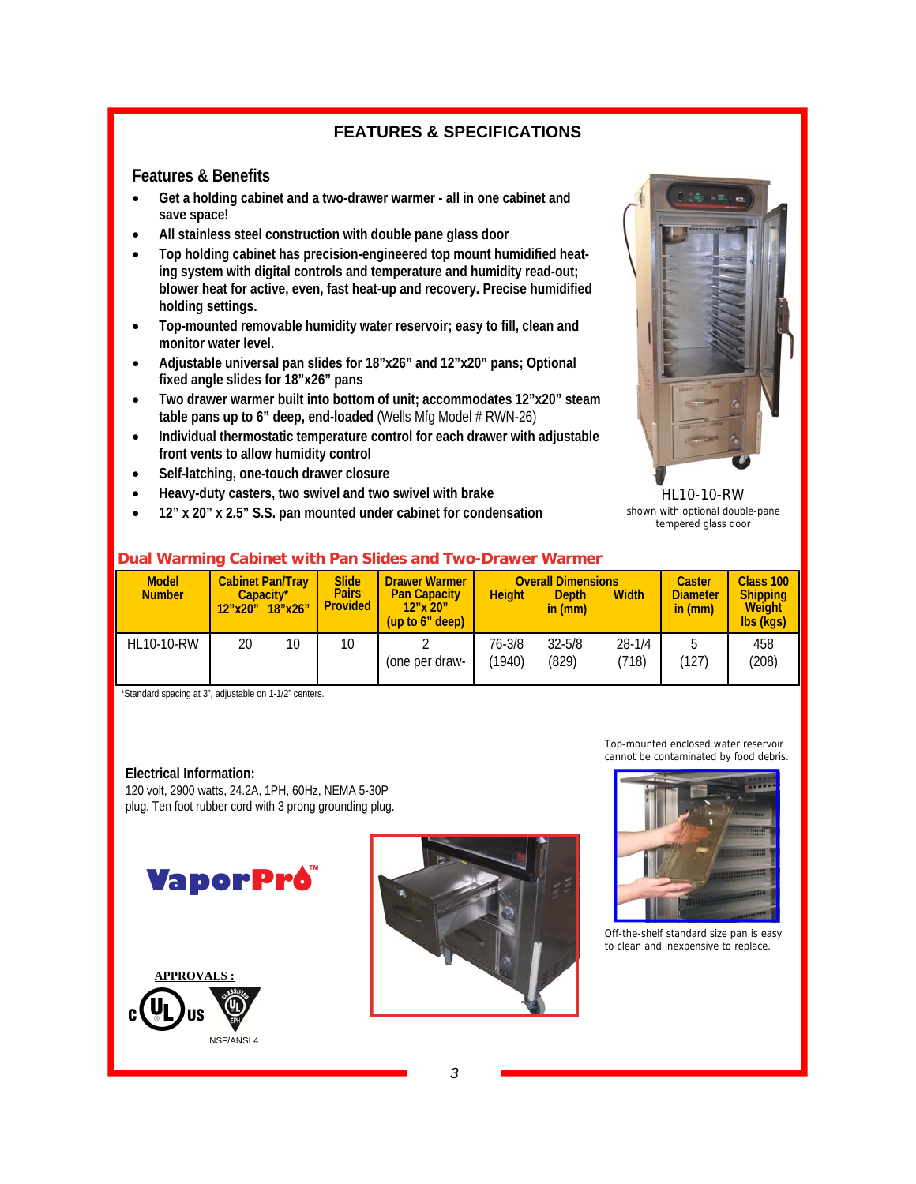### **FEATURES & SPECIFICATIONS**

### **Features & Benefits**

- **Get a holding cabinet and a two-drawer warmer all in one cabinet and save space!**
- **All stainless steel construction with double pane glass door**
- **Top holding cabinet has precision-engineered top mount humidified heating system with digital controls and temperature and humidity read-out; blower heat for active, even, fast heat-up and recovery. Precise humidified holding settings.**
- **Top-mounted removable humidity water reservoir; easy to fill, clean and monitor water level.**
- **Adjustable universal pan slides for 18"x26" and 12"x20" pans; Optional fixed angle slides for 18"x26" pans**
- **Two drawer warmer built into bottom of unit; accommodates 12"x20" steam table pans up to 6" deep, end-loaded** (Wells Mfg Model # RWN-26)
- **Individual thermostatic temperature control for each drawer with adjustable front vents to allow humidity control**
- **Self-latching, one-touch drawer closure**
- **Heavy-duty casters, two swivel and two swivel with brake**
- **12" x 20" x 2.5" S.S. pan mounted under cabinet for condensation**



HL10-10-RW shown with optional double-pane tempered glass door

# **Dual Warming Cabinet with Pan Slides and Two-Drawer Warmer**

| <b>Model</b><br><b>Number</b> | 12"x20" | <b>Cabinet Pan/Tray</b><br>Capacity*<br>18"x26" | <b>Slide</b><br><b>Pairs</b><br><b>Provided</b> | <b>Drawer Warmer</b><br><b>Pan Capacity</b><br>$12"$ x $20"$<br>(up to 6" deep) | <b>Height</b>    | <b>Overall Dimensions</b><br><b>Depth</b><br>in (mm) | <b>Width</b>        | <b>Caster</b><br><b>Diameter</b><br>in (mm) | Class 100<br><b>Shipping</b><br><b>Weight</b><br>lbs (kgs) |
|-------------------------------|---------|-------------------------------------------------|-------------------------------------------------|---------------------------------------------------------------------------------|------------------|------------------------------------------------------|---------------------|---------------------------------------------|------------------------------------------------------------|
| <b>HL10-10-RW</b>             | 20      | 10                                              | 10                                              | (one per draw-                                                                  | 76-3/8<br>(1940) | $32 - 5/8$<br>(829)                                  | $28 - 1/4$<br>(718) | (127)                                       | 458<br>(208)                                               |

\*Standard spacing at 3", adjustable on 1-1/2" centers.

#### **Electrical Information:**

120 volt, 2900 watts, 24.2A, 1PH, 60Hz, NEMA 5-30P plug. Ten foot rubber cord with 3 prong grounding plug.

**VaporPro** 







Top-mounted enclosed water reservoir cannot be contaminated by food debris.

Off-the-shelf standard size pan is easy to clean and inexpensive to replace.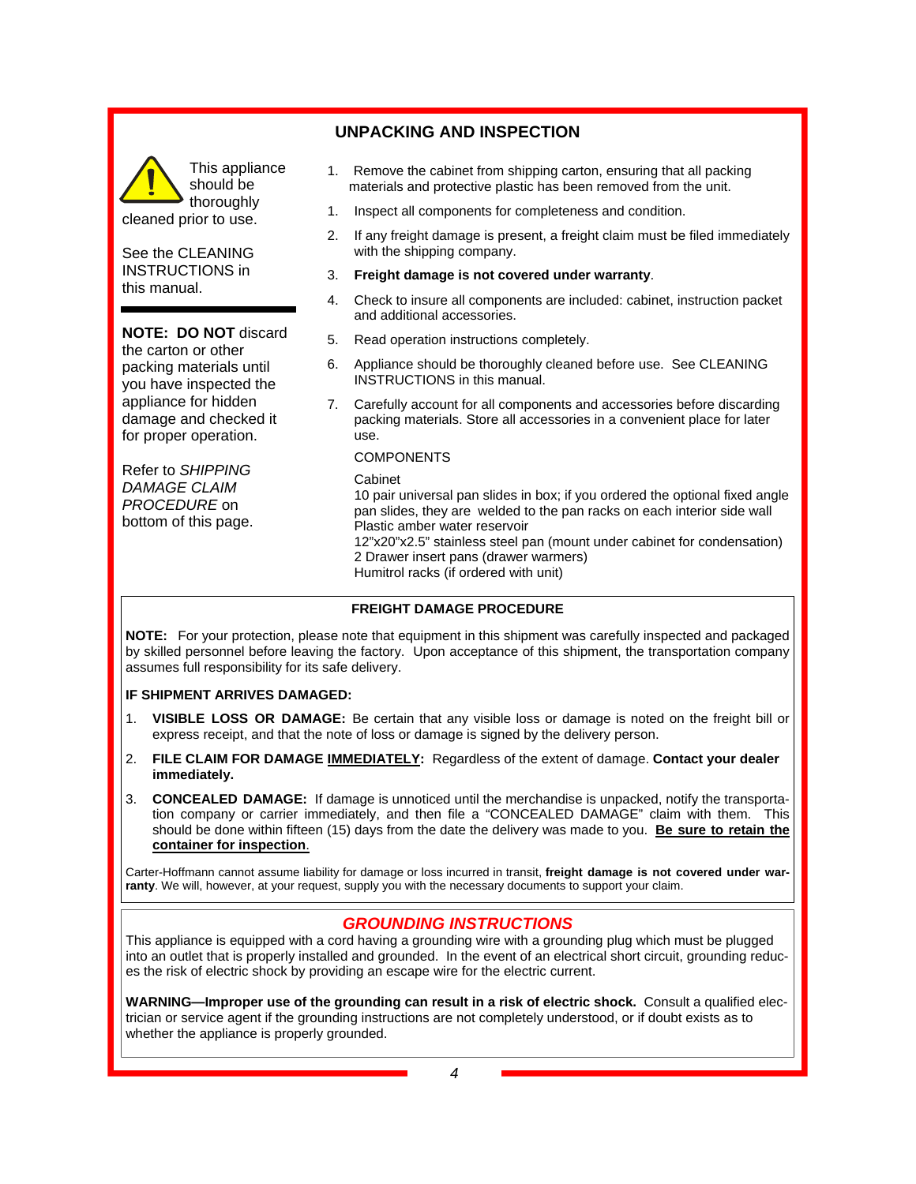#### This appliance should be thoroughly cleaned prior to use.

See the CLEANING INSTRUCTIONS in this manual.

#### **NOTE: DO NOT** discard

the carton or other packing materials until you have inspected the appliance for hidden damage and checked it for proper operation.

Refer to *SHIPPING DAMAGE CLAIM PROCEDURE* on bottom of this page.

### **UNPACKING AND INSPECTION**

- 1. Remove the cabinet from shipping carton, ensuring that all packing materials and protective plastic has been removed from the unit.
- 1. Inspect all components for completeness and condition.
- 2. If any freight damage is present, a freight claim must be filed immediately with the shipping company.
- 3. **Freight damage is not covered under warranty**.
- 4. Check to insure all components are included: cabinet, instruction packet and additional accessories.
- 5. Read operation instructions completely.
- 6. Appliance should be thoroughly cleaned before use. See CLEANING INSTRUCTIONS in this manual.
- 7. Carefully account for all components and accessories before discarding packing materials. Store all accessories in a convenient place for later use.

#### **COMPONENTS**

 Cabinet 10 pair universal pan slides in box; if you ordered the optional fixed angle pan slides, they are welded to the pan racks on each interior side wall Plastic amber water reservoir 12"x20"x2.5" stainless steel pan (mount under cabinet for condensation) 2 Drawer insert pans (drawer warmers) Humitrol racks (if ordered with unit)

#### **FREIGHT DAMAGE PROCEDURE**

**NOTE:** For your protection, please note that equipment in this shipment was carefully inspected and packaged by skilled personnel before leaving the factory. Upon acceptance of this shipment, the transportation company assumes full responsibility for its safe delivery.

#### **IF SHIPMENT ARRIVES DAMAGED:**

- 1. **VISIBLE LOSS OR DAMAGE:** Be certain that any visible loss or damage is noted on the freight bill or express receipt, and that the note of loss or damage is signed by the delivery person.
- 2. **FILE CLAIM FOR DAMAGE IMMEDIATELY:** Regardless of the extent of damage. **Contact your dealer immediately.**
- 3. **CONCEALED DAMAGE:** If damage is unnoticed until the merchandise is unpacked, notify the transportation company or carrier immediately, and then file a "CONCEALED DAMAGE" claim with them. This should be done within fifteen (15) days from the date the delivery was made to you. **Be sure to retain the container for inspection**.

Carter-Hoffmann cannot assume liability for damage or loss incurred in transit, **freight damage is not covered under warranty**. We will, however, at your request, supply you with the necessary documents to support your claim.

### *GROUNDING INSTRUCTIONS*

This appliance is equipped with a cord having a grounding wire with a grounding plug which must be plugged into an outlet that is properly installed and grounded. In the event of an electrical short circuit, grounding reduces the risk of electric shock by providing an escape wire for the electric current.

**WARNING—Improper use of the grounding can result in a risk of electric shock.** Consult a qualified electrician or service agent if the grounding instructions are not completely understood, or if doubt exists as to whether the appliance is properly grounded.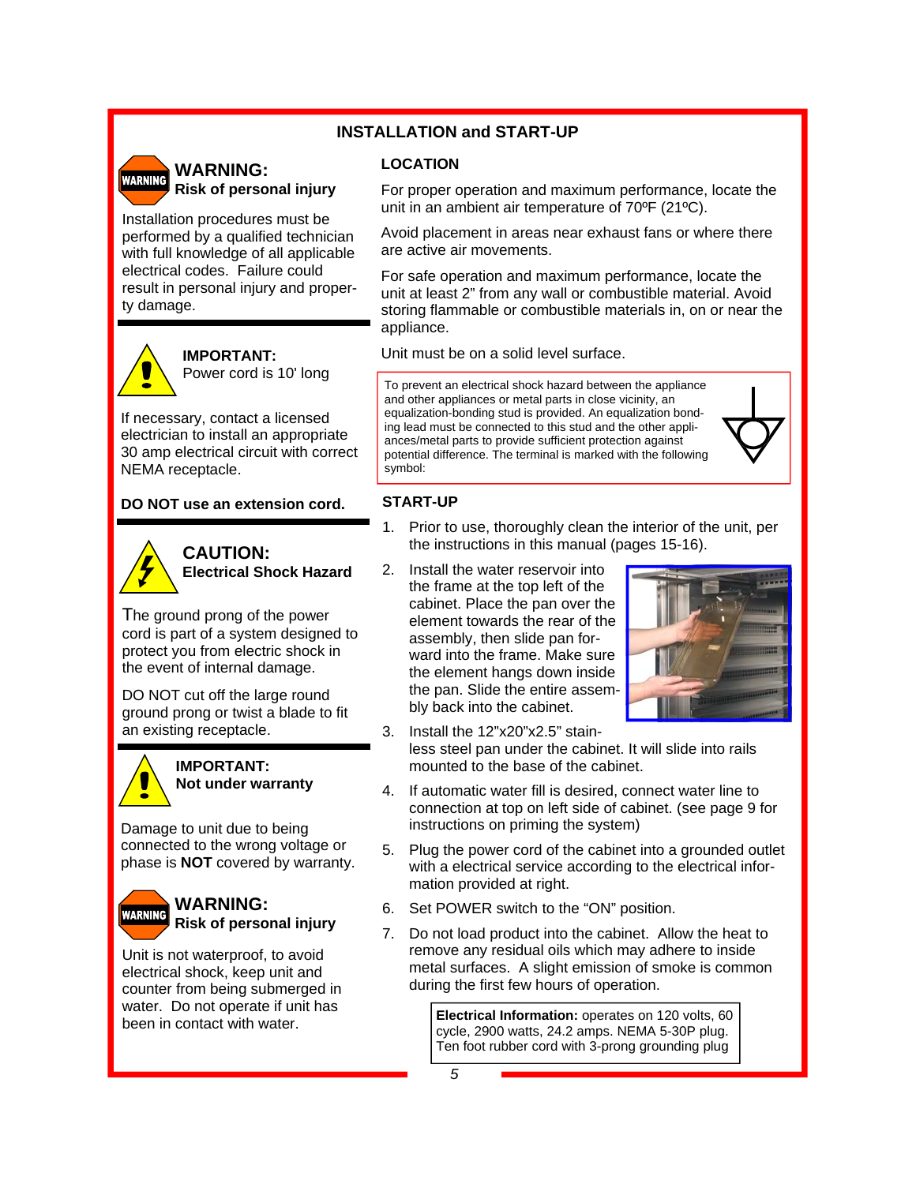### **INSTALLATION and START-UP**

### **LOCATION**

**WARNING: WARNING Risk of personal injury** 

Installation procedures must be performed by a qualified technician with full knowledge of all applicable electrical codes. Failure could result in personal injury and property damage.



#### **IMPORTANT:**  Power cord is 10' long

If necessary, contact a licensed electrician to install an appropriate 30 amp electrical circuit with correct NEMA receptacle.

### **DO NOT use an extension cord.**



### **CAUTION: Electrical Shock Hazard**

The ground prong of the power cord is part of a system designed to protect you from electric shock in the event of internal damage.

DO NOT cut off the large round ground prong or twist a blade to fit an existing receptacle.



### **IMPORTANT: Not under warranty**

Damage to unit due to being connected to the wrong voltage or phase is **NOT** covered by warranty.

#### **WARNING: WARNING Risk of personal injury**

Unit is not waterproof, to avoid electrical shock, keep unit and counter from being submerged in water. Do not operate if unit has been in contact with water.

For proper operation and maximum performance, locate the unit in an ambient air temperature of 70ºF (21ºC).

Avoid placement in areas near exhaust fans or where there are active air movements.

For safe operation and maximum performance, locate the unit at least 2" from any wall or combustible material. Avoid storing flammable or combustible materials in, on or near the appliance.

Unit must be on a solid level surface.

To prevent an electrical shock hazard between the appliance and other appliances or metal parts in close vicinity, an equalization-bonding stud is provided. An equalization bonding lead must be connected to this stud and the other appliances/metal parts to provide sufficient protection against potential difference. The terminal is marked with the following symbol:



### **START-UP**

- 1. Prior to use, thoroughly clean the interior of the unit, per the instructions in this manual (pages 15-16).
- 2. Install the water reservoir into the frame at the top left of the cabinet. Place the pan over the element towards the rear of the assembly, then slide pan forward into the frame. Make sure the element hangs down inside the pan. Slide the entire assembly back into the cabinet.



3. Install the 12"x20"x2.5" stainless steel pan under the cabinet. It will slide into rails mounted to the base of the cabinet.

- 4. If automatic water fill is desired, connect water line to connection at top on left side of cabinet. (see page 9 for instructions on priming the system)
- 5. Plug the power cord of the cabinet into a grounded outlet with a electrical service according to the electrical information provided at right.
- 6. Set POWER switch to the "ON" position.
- 7. Do not load product into the cabinet. Allow the heat to remove any residual oils which may adhere to inside metal surfaces. A slight emission of smoke is common during the first few hours of operation.

**Electrical Information:** operates on 120 volts, 60 cycle, 2900 watts, 24.2 amps. NEMA 5-30P plug. Ten foot rubber cord with 3-prong grounding plug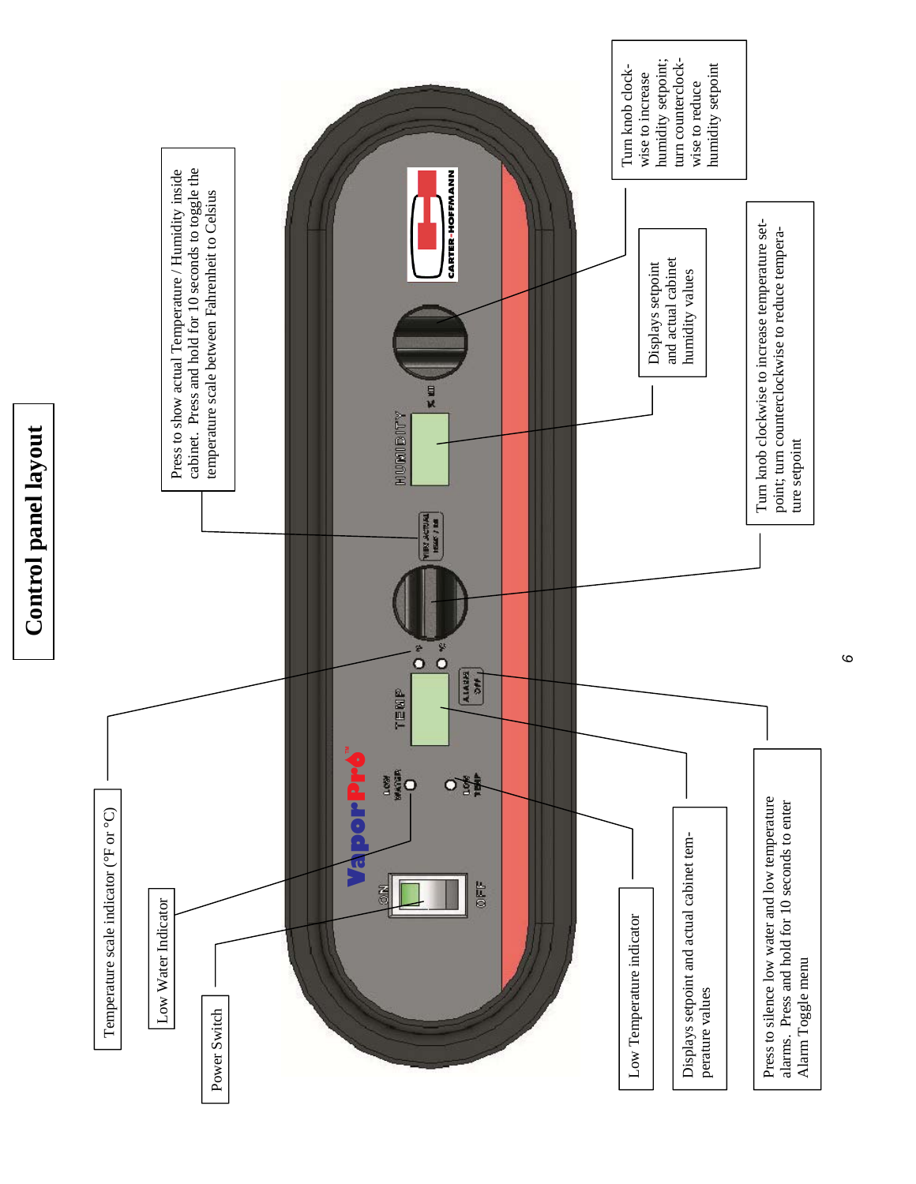

*6*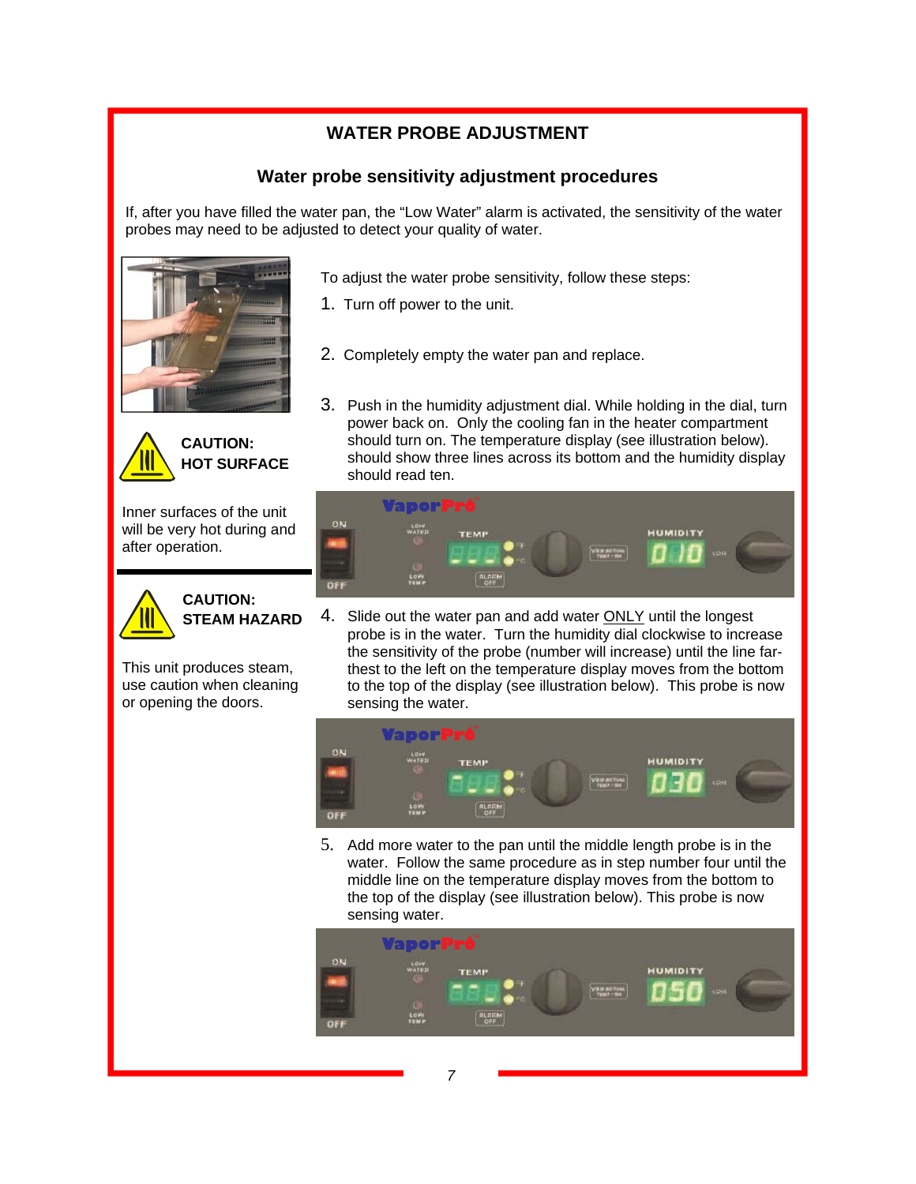### **WATER PROBE ADJUSTMENT**

### **Water probe sensitivity adjustment procedures**

If, after you have filled the water pan, the "Low Water" alarm is activated, the sensitivity of the water probes may need to be adjusted to detect your quality of water.





Inner surfaces of the unit will be very hot during and after operation.



### **CAUTION: STEAM HAZARD**

This unit produces steam, use caution when cleaning or opening the doors.

- To adjust the water probe sensitivity, follow these steps:
- 1. Turn off power to the unit.
- 2. Completely empty the water pan and replace.
- 3. Push in the humidity adjustment dial. While holding in the dial, turn power back on. Only the cooling fan in the heater compartment should turn on. The temperature display (see illustration below). should show three lines across its bottom and the humidity display should read ten.



4. Slide out the water pan and add water ONLY until the longest probe is in the water. Turn the humidity dial clockwise to increase the sensitivity of the probe (number will increase) until the line farthest to the left on the temperature display moves from the bottom to the top of the display (see illustration below). This probe is now sensing the water.



5. Add more water to the pan until the middle length probe is in the water. Follow the same procedure as in step number four until the middle line on the temperature display moves from the bottom to the top of the display (see illustration below). This probe is now sensing water.

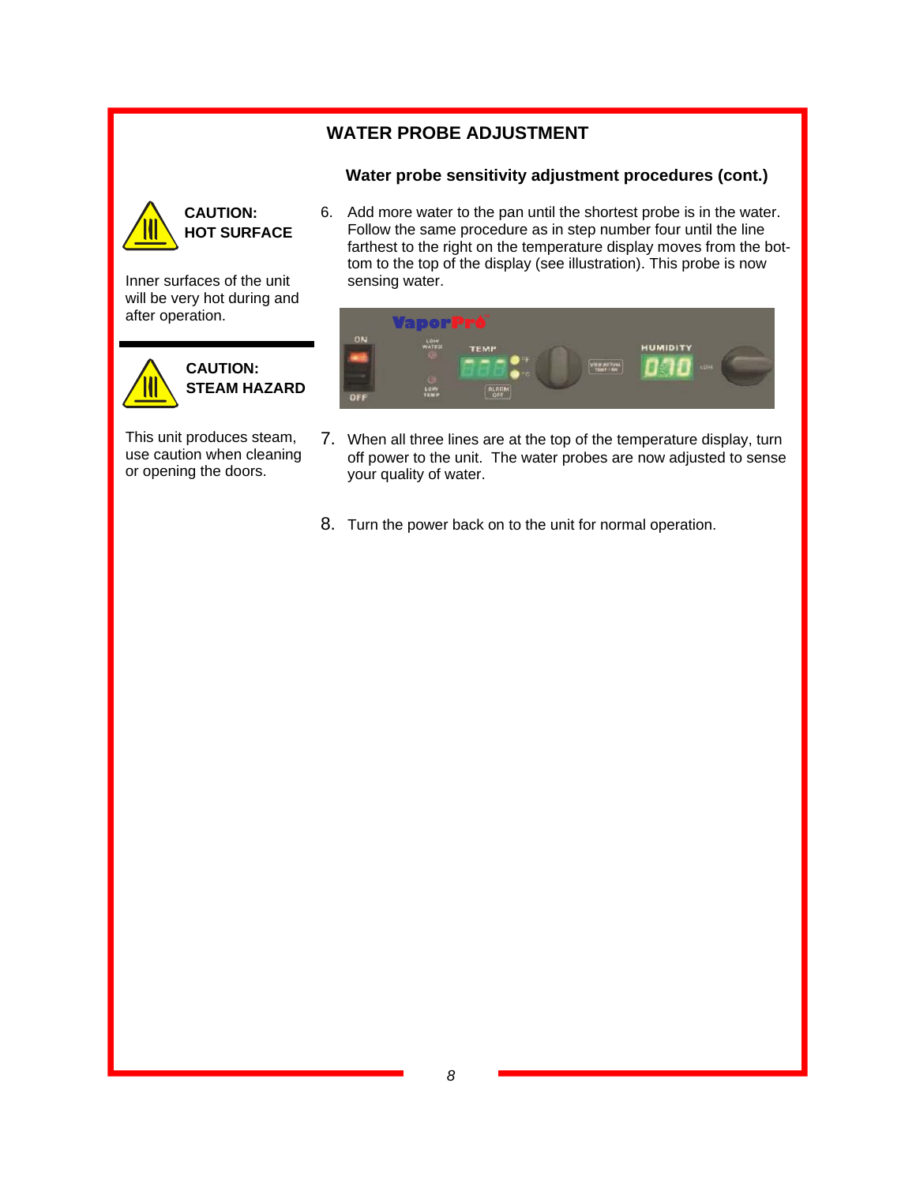### **WATER PROBE ADJUSTMENT**

### **Water probe sensitivity adjustment procedures (cont.)**



**CAUTION: HOT SURFACE**  6. Add more water to the pan until the shortest probe is in the water. Follow the same procedure as in step number four until the line farthest to the right on the temperature display moves from the bottom to the top of the display (see illustration). This probe is now sensing water.

Inner surfaces of the unit will be very hot during and after operation.



This unit produces steam, use caution when cleaning or opening the doors.

|     | <b>VaporPro</b> |             |                 |                 |            |
|-----|-----------------|-------------|-----------------|-----------------|------------|
| ON  | LON             | <b>TEMP</b> | <b>WAITIVAL</b> | <b>HUMIDITY</b> | <b>SRH</b> |
| OFF | LOW<br>TEMP     | ALARM       |                 |                 |            |

- 7. When all three lines are at the top of the temperature display, turn off power to the unit. The water probes are now adjusted to sense your quality of water.
- 8. Turn the power back on to the unit for normal operation.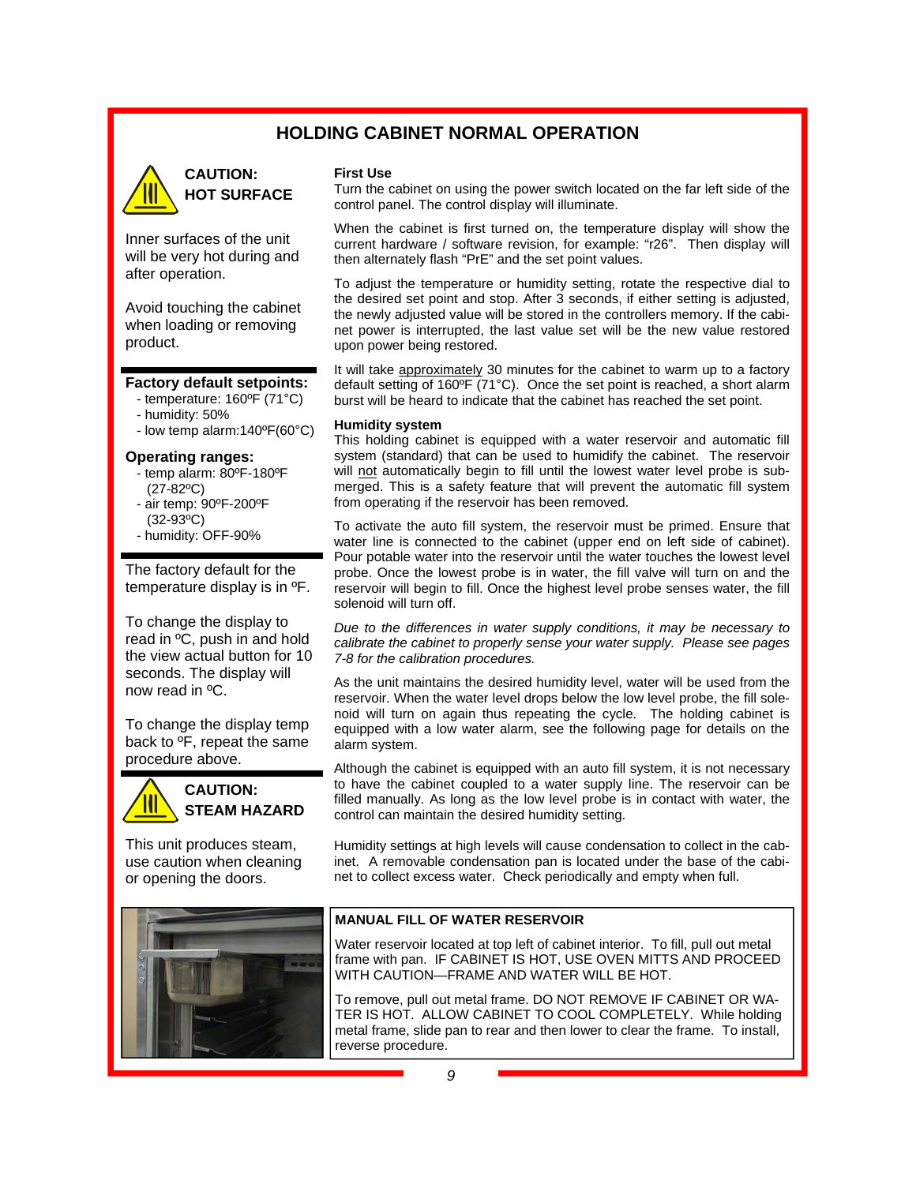### **HOLDING CABINET NORMAL OPERATION**



### **CAUTION: HOT SURFACE**

Inner surfaces of the unit will be very hot during and after operation.

Avoid touching the cabinet when loading or removing product.

#### **Factory default setpoints:**

- temperature: 160ºF (71°C)
- humidity: 50%
- low temp alarm:140ºF(60°C)

#### **Operating ranges:**

- temp alarm: 80ºF-180ºF (27-82ºC)
- air temp: 90ºF-200ºF (32-93ºC)
- humidity: OFF-90%

The factory default for the temperature display is in ºF.

To change the display to read in ºC, push in and hold the view actual button for 10 seconds. The display will now read in ºC.

To change the display temp back to ºF, repeat the same procedure above.



This unit produces steam, use caution when cleaning or opening the doors.



#### **First Use**

Turn the cabinet on using the power switch located on the far left side of the control panel. The control display will illuminate.

When the cabinet is first turned on, the temperature display will show the current hardware / software revision, for example: "r26". Then display will then alternately flash "PrE" and the set point values.

To adjust the temperature or humidity setting, rotate the respective dial to the desired set point and stop. After 3 seconds, if either setting is adjusted, the newly adjusted value will be stored in the controllers memory. If the cabinet power is interrupted, the last value set will be the new value restored upon power being restored.

It will take approximately 30 minutes for the cabinet to warm up to a factory default setting of 160ºF (71°C). Once the set point is reached, a short alarm burst will be heard to indicate that the cabinet has reached the set point.

#### **Humidity system**

This holding cabinet is equipped with a water reservoir and automatic fill system (standard) that can be used to humidify the cabinet. The reservoir will not automatically begin to fill until the lowest water level probe is submerged. This is a safety feature that will prevent the automatic fill system from operating if the reservoir has been removed.

To activate the auto fill system, the reservoir must be primed. Ensure that water line is connected to the cabinet (upper end on left side of cabinet). Pour potable water into the reservoir until the water touches the lowest level probe. Once the lowest probe is in water, the fill valve will turn on and the reservoir will begin to fill. Once the highest level probe senses water, the fill solenoid will turn off.

*Due to the differences in water supply conditions, it may be necessary to calibrate the cabinet to properly sense your water supply. Please see pages 7-8 for the calibration procedures.* 

As the unit maintains the desired humidity level, water will be used from the reservoir. When the water level drops below the low level probe, the fill solenoid will turn on again thus repeating the cycle. The holding cabinet is equipped with a low water alarm, see the following page for details on the alarm system.

Although the cabinet is equipped with an auto fill system, it is not necessary to have the cabinet coupled to a water supply line. The reservoir can be filled manually. As long as the low level probe is in contact with water, the control can maintain the desired humidity setting.

Humidity settings at high levels will cause condensation to collect in the cabinet. A removable condensation pan is located under the base of the cabinet to collect excess water. Check periodically and empty when full.

#### **MANUAL FILL OF WATER RESERVOIR**

Water reservoir located at top left of cabinet interior. To fill, pull out metal frame with pan. IF CABINET IS HOT, USE OVEN MITTS AND PROCEED WITH CAUTION—FRAME AND WATER WILL BE HOT.

To remove, pull out metal frame. DO NOT REMOVE IF CABINET OR WA-TER IS HOT. ALLOW CABINET TO COOL COMPLETELY. While holding metal frame, slide pan to rear and then lower to clear the frame. To install, reverse procedure.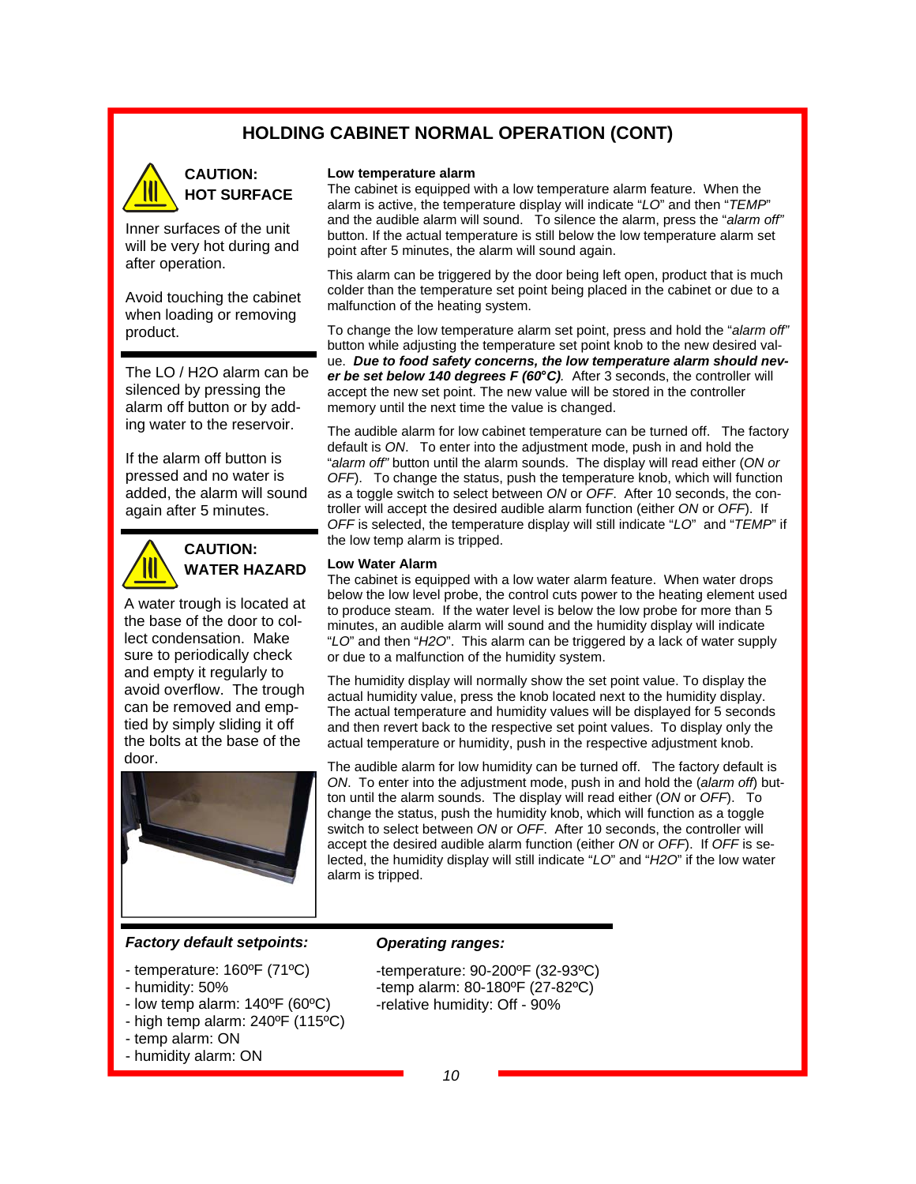### **HOLDING CABINET NORMAL OPERATION (CONT)**



### **CAUTION: HOT SURFACE**

Inner surfaces of the unit will be very hot during and after operation.

Avoid touching the cabinet when loading or removing product.

The LO / H2O alarm can be silenced by pressing the alarm off button or by adding water to the reservoir.

If the alarm off button is pressed and no water is added, the alarm will sound again after 5 minutes.



### **CAUTION: WATER HAZARD**

A water trough is located at the base of the door to collect condensation. Make sure to periodically check and empty it regularly to avoid overflow. The trough can be removed and emptied by simply sliding it off the bolts at the base of the door.



#### **Low temperature alarm**

The cabinet is equipped with a low temperature alarm feature. When the alarm is active, the temperature display will indicate "*LO*" and then "*TEMP*" and the audible alarm will sound. To silence the alarm, press the "*alarm off"*  button. If the actual temperature is still below the low temperature alarm set point after 5 minutes, the alarm will sound again.

This alarm can be triggered by the door being left open, product that is much colder than the temperature set point being placed in the cabinet or due to a malfunction of the heating system.

To change the low temperature alarm set point, press and hold the "*alarm off"*  button while adjusting the temperature set point knob to the new desired value. *Due to food safety concerns, the low temperature alarm should never be set below 140 degrees F (60°C).* After 3 seconds, the controller will accept the new set point. The new value will be stored in the controller memory until the next time the value is changed.

The audible alarm for low cabinet temperature can be turned off. The factory default is *ON*. To enter into the adjustment mode, push in and hold the "*alarm off"* button until the alarm sounds. The display will read either (*ON or OFF*). To change the status, push the temperature knob, which will function as a toggle switch to select between *ON* or *OFF*. After 10 seconds, the controller will accept the desired audible alarm function (either *ON* or *OFF*). If *OFF* is selected, the temperature display will still indicate "*LO*" and "*TEMP*" if the low temp alarm is tripped.

#### **Low Water Alarm**

The cabinet is equipped with a low water alarm feature. When water drops below the low level probe, the control cuts power to the heating element used to produce steam. If the water level is below the low probe for more than 5 minutes, an audible alarm will sound and the humidity display will indicate "*LO*" and then "*H2O*". This alarm can be triggered by a lack of water supply or due to a malfunction of the humidity system.

The humidity display will normally show the set point value. To display the actual humidity value, press the knob located next to the humidity display. The actual temperature and humidity values will be displayed for 5 seconds and then revert back to the respective set point values. To display only the actual temperature or humidity, push in the respective adjustment knob.

The audible alarm for low humidity can be turned off. The factory default is *ON*. To enter into the adjustment mode, push in and hold the (*alarm off*) button until the alarm sounds. The display will read either (*ON* or *OFF*). To change the status, push the humidity knob, which will function as a toggle switch to select between *ON* or *OFF*. After 10 seconds, the controller will accept the desired audible alarm function (either *ON* or *OFF*). If *OFF* is selected, the humidity display will still indicate "*LO*" and "*H2O*" if the low water alarm is tripped.

#### *Factory default setpoints:*

- temperature: 160ºF (71ºC)
- humidity: 50%
- low temp alarm: 140ºF (60ºC)
- high temp alarm: 240ºF (115ºC) - temp alarm: ON
- 
- humidity alarm: ON

#### *Operating ranges:*

- -temperature: 90-200ºF (32-93ºC) -temp alarm: 80-180ºF (27-82ºC)
- -relative humidity: Off 90%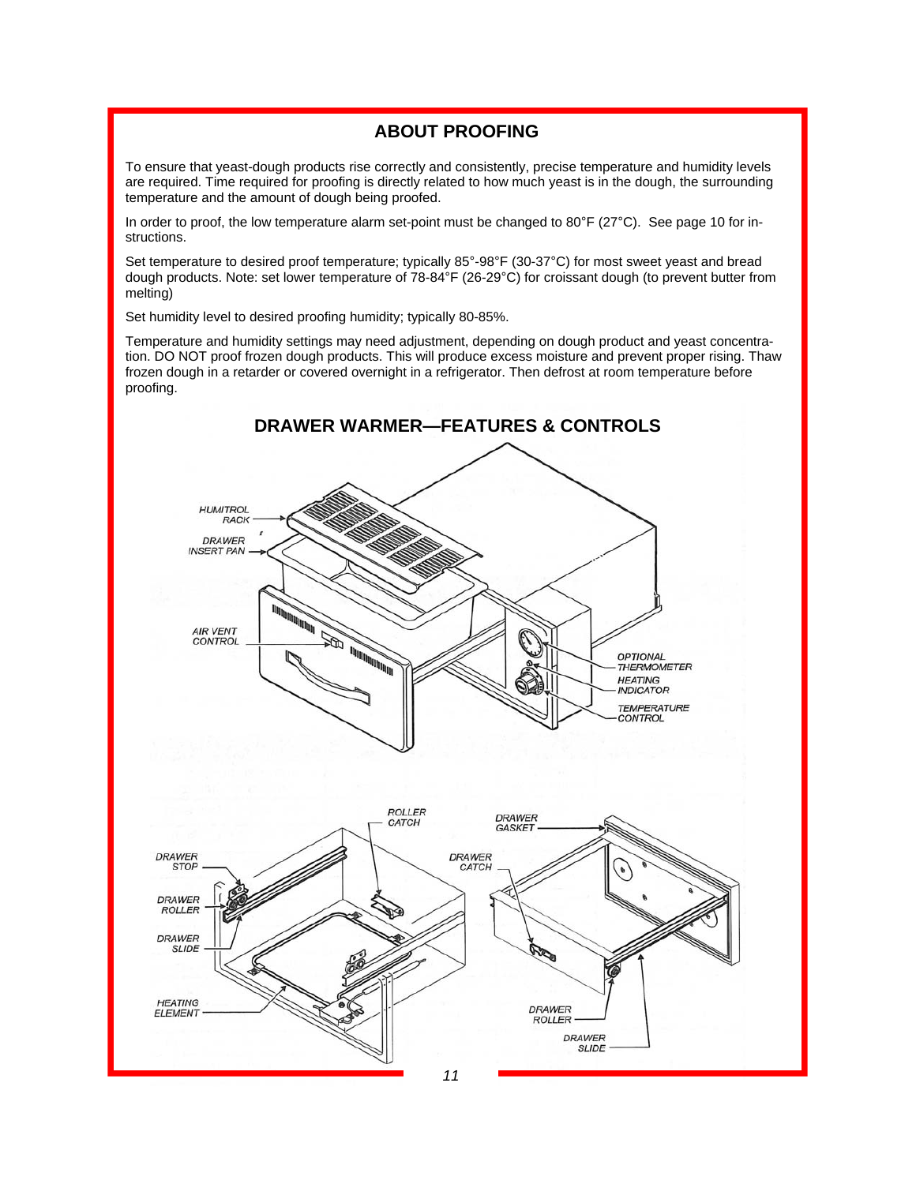### **ABOUT PROOFING**

To ensure that yeast-dough products rise correctly and consistently, precise temperature and humidity levels are required. Time required for proofing is directly related to how much yeast is in the dough, the surrounding temperature and the amount of dough being proofed.

In order to proof, the low temperature alarm set-point must be changed to 80°F (27°C). See page 10 for instructions.

Set temperature to desired proof temperature; typically 85°-98°F (30-37°C) for most sweet yeast and bread dough products. Note: set lower temperature of 78-84°F (26-29°C) for croissant dough (to prevent butter from melting)

Set humidity level to desired proofing humidity; typically 80-85%.

Temperature and humidity settings may need adjustment, depending on dough product and yeast concentration. DO NOT proof frozen dough products. This will produce excess moisture and prevent proper rising. Thaw frozen dough in a retarder or covered overnight in a refrigerator. Then defrost at room temperature before proofing.

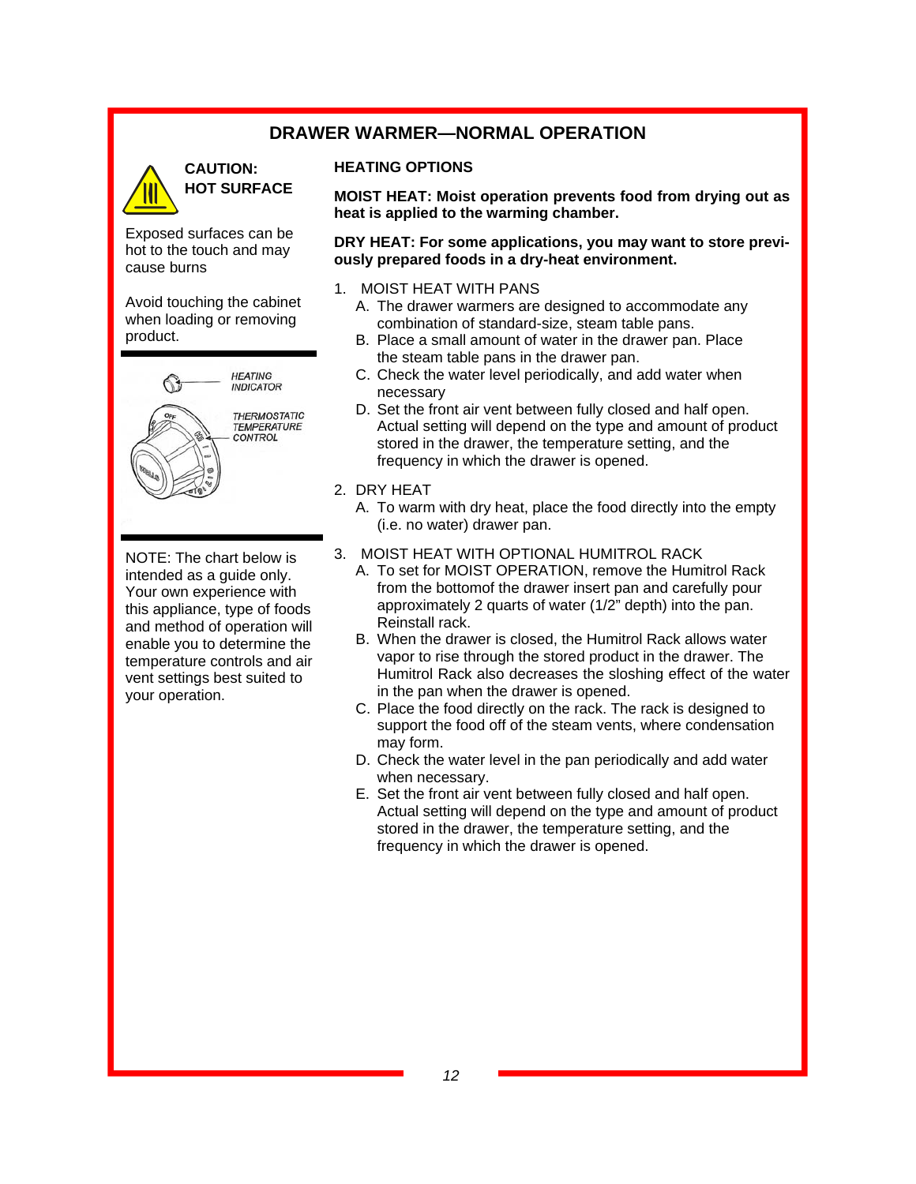### **DRAWER WARMER—NORMAL OPERATION**



Exposed surfaces can be hot to the touch and may cause burns

Avoid touching the cabinet when loading or removing product.



NOTE: The chart below is intended as a guide only. Your own experience with this appliance, type of foods and method of operation will enable you to determine the temperature controls and air vent settings best suited to your operation.

#### **HEATING OPTIONS**

**MOIST HEAT: Moist operation prevents food from drying out as heat is applied to the warming chamber.** 

**DRY HEAT: For some applications, you may want to store previously prepared foods in a dry-heat environment.** 

- 1. MOIST HEAT WITH PANS
	- A. The drawer warmers are designed to accommodate any combination of standard-size, steam table pans.
	- B. Place a small amount of water in the drawer pan. Place the steam table pans in the drawer pan.
	- C. Check the water level periodically, and add water when necessary
	- D. Set the front air vent between fully closed and half open. Actual setting will depend on the type and amount of product stored in the drawer, the temperature setting, and the frequency in which the drawer is opened.
- 2. DRY HEAT
	- A. To warm with dry heat, place the food directly into the empty (i.e. no water) drawer pan.
- 3. MOIST HEAT WITH OPTIONAL HUMITROL RACK
	- A. To set for MOIST OPERATION, remove the Humitrol Rack from the bottomof the drawer insert pan and carefully pour approximately 2 quarts of water (1/2" depth) into the pan. Reinstall rack.
	- B. When the drawer is closed, the Humitrol Rack allows water vapor to rise through the stored product in the drawer. The Humitrol Rack also decreases the sloshing effect of the water in the pan when the drawer is opened.
	- C. Place the food directly on the rack. The rack is designed to support the food off of the steam vents, where condensation may form.
	- D. Check the water level in the pan periodically and add water when necessary.
	- E. Set the front air vent between fully closed and half open. Actual setting will depend on the type and amount of product stored in the drawer, the temperature setting, and the frequency in which the drawer is opened.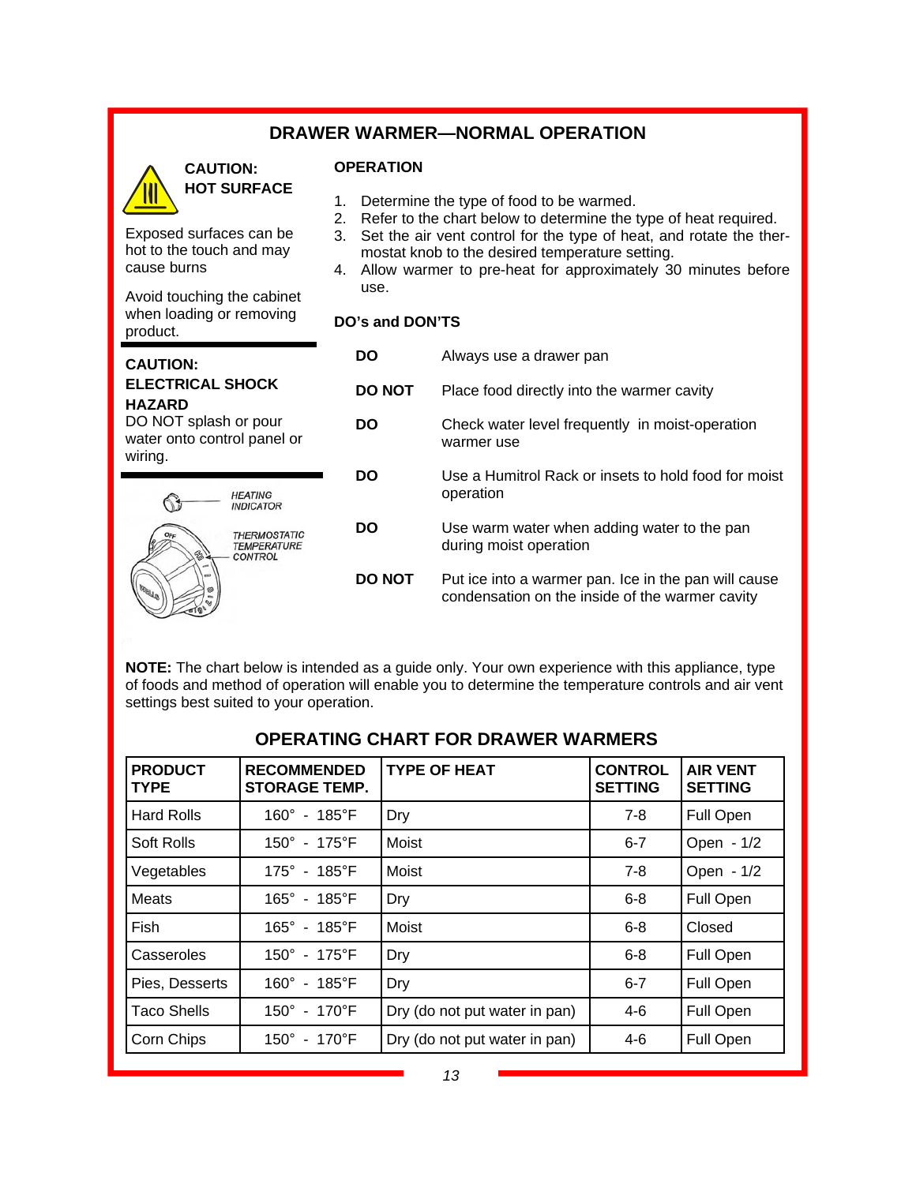### **DRAWER WARMER—NORMAL OPERATION**



cause burns

product.

**CAUTION:** 

**HAZARD** 

wiring.

Exposed surfaces can be hot to the touch and may

Avoid touching the cabinet when loading or removing

**ELECTRICAL SHOCK** 

DO NOT splash or pour water onto control panel or

> **HEATING INDICATOR**

**THERMOSTATIC<br>TEMPERATURE CONTROL** 

### **OPERATION**

- 1. Determine the type of food to be warmed.
- 2. Refer to the chart below to determine the type of heat required.
- 3. Set the air vent control for the type of heat, and rotate the thermostat knob to the desired temperature setting.
- 4. Allow warmer to pre-heat for approximately 30 minutes before use.

### **DO's and DON'TS**

| DO            | Always use a drawer pan                                                                                 |  |  |
|---------------|---------------------------------------------------------------------------------------------------------|--|--|
| <b>DO NOT</b> | Place food directly into the warmer cavity                                                              |  |  |
| DO            | Check water level frequently in moist-operation<br>warmer use                                           |  |  |
| DO            | Use a Humitrol Rack or insets to hold food for moist<br>operation                                       |  |  |
| DO            | Use warm water when adding water to the pan<br>during moist operation                                   |  |  |
| <b>DO NOT</b> | Put ice into a warmer pan. Ice in the pan will cause<br>condensation on the inside of the warmer cavity |  |  |

**NOTE:** The chart below is intended as a guide only. Your own experience with this appliance, type of foods and method of operation will enable you to determine the temperature controls and air vent settings best suited to your operation.

| <b>PRODUCT</b><br><b>TYPE</b> | <b>RECOMMENDED</b><br><b>STORAGE TEMP.</b> | <b>TYPE OF HEAT</b>           | <b>CONTROL</b><br><b>SETTING</b> | <b>AIR VENT</b><br><b>SETTING</b> |
|-------------------------------|--------------------------------------------|-------------------------------|----------------------------------|-----------------------------------|
| <b>Hard Rolls</b>             | $160^{\circ}$ - $185^{\circ}$ F            | Dry                           | $7-8$                            | Full Open                         |
| Soft Rolls                    | $150^{\circ}$ - 175 $^{\circ}$ F           | Moist                         | $6 - 7$                          | Open - 1/2                        |
| Vegetables                    | $175^{\circ}$ - 185 $^{\circ}$ F           | Moist                         | 7-8                              | Open - 1/2                        |
| Meats                         | 165° - 185°F                               | Dry                           | $6 - 8$                          | Full Open                         |
| <b>Fish</b>                   | $165^{\circ}$ - $185^{\circ}$ F            | Moist                         | $6 - 8$                          | Closed                            |
| Casseroles                    | 150° - 175°F                               | Dry                           | $6 - 8$                          | Full Open                         |
| Pies, Desserts                | $160^{\circ}$ - $185^{\circ}$ F            | Dry                           | $6 - 7$                          | Full Open                         |
| Taco Shells                   | 150° - 170°F                               | Dry (do not put water in pan) | $4-6$                            | Full Open                         |
| Corn Chips                    | $150^{\circ}$ - 170 $^{\circ}$ F           | Dry (do not put water in pan) | 4-6                              | Full Open                         |

### **OPERATING CHART FOR DRAWER WARMERS**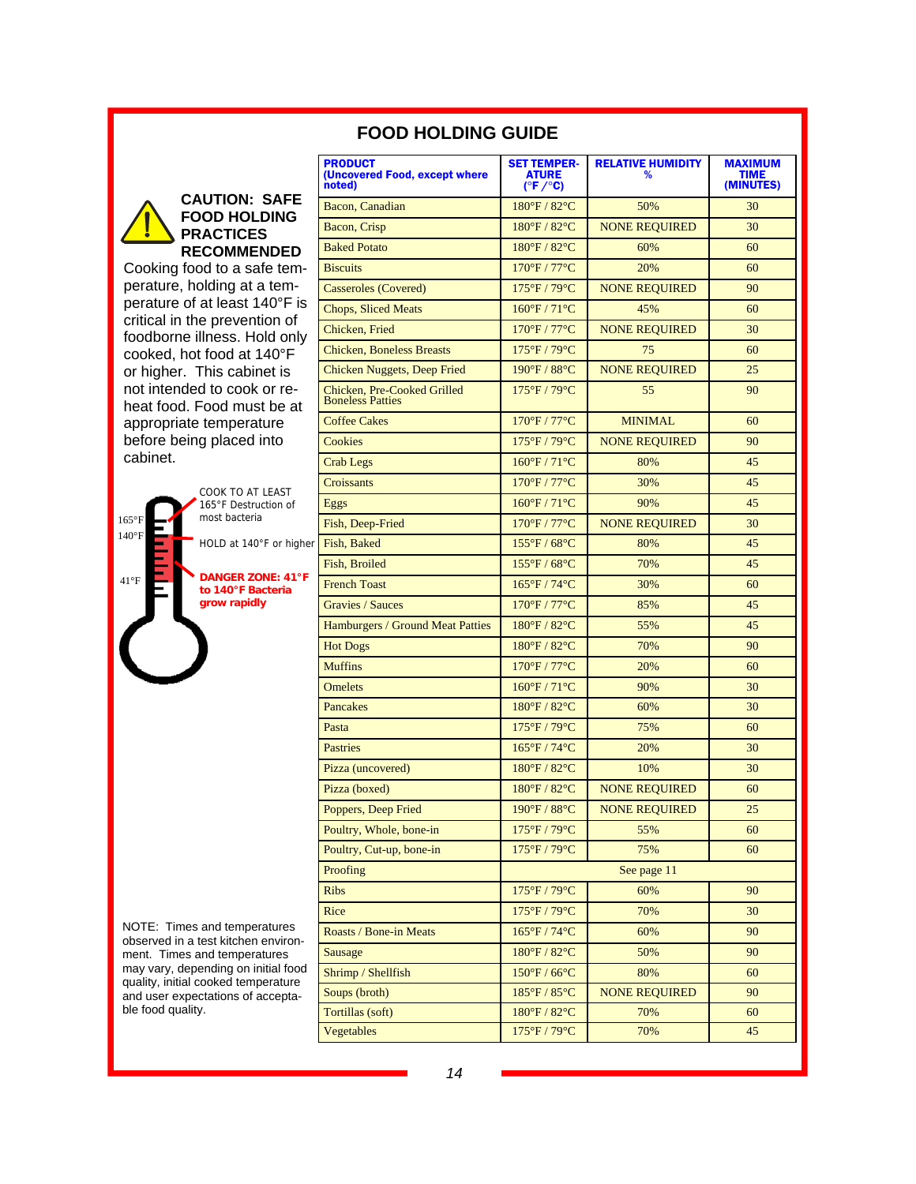|                                                                            | <b>PRODUCT</b><br>(Uncovered Food, except where        | <b>SET TEMPER-</b><br><b>ATURE</b> | <b>RELATIVE HUMIDITY</b><br>% | <b>MAXIMUM</b><br><b>TIME</b> |  |
|----------------------------------------------------------------------------|--------------------------------------------------------|------------------------------------|-------------------------------|-------------------------------|--|
|                                                                            | noted)                                                 | $(^{\circ}F/^{\circ}C)$            |                               | (MINUTES)                     |  |
| <b>CAUTION: SAFE</b><br><b>FOOD HOLDING</b>                                | Bacon, Canadian                                        | 180°F / 82°C                       | 50%                           | 30                            |  |
| <b>PRACTICES</b>                                                           | Bacon, Crisp                                           | 180°F/82°C                         | <b>NONE REQUIRED</b>          | 30                            |  |
| <b>RECOMMENDED</b>                                                         | <b>Baked Potato</b>                                    | $180^{\circ}$ F / $82^{\circ}$ C   | 60%                           | 60                            |  |
| Cooking food to a safe tem-                                                | <b>Biscuits</b>                                        | 170°F / 77°C                       | 20%                           | 60                            |  |
| perature, holding at a tem-                                                | <b>Casseroles (Covered)</b>                            | 175°F/79°C                         | <b>NONE REQUIRED</b>          | 90                            |  |
| perature of at least 140°F is                                              | <b>Chops, Sliced Meats</b>                             | $160^{\circ}F / 71^{\circ}C$       | 45%                           | 60                            |  |
| critical in the prevention of<br>foodborne illness. Hold only              | Chicken, Fried                                         | 170°F / 77°C                       | <b>NONE REQUIRED</b>          | 30                            |  |
| cooked, hot food at 140°F                                                  | <b>Chicken, Boneless Breasts</b>                       | 175°F / 79°C                       | 75                            | 60                            |  |
| or higher. This cabinet is                                                 | Chicken Nuggets, Deep Fried                            | 190°F / 88°C                       | <b>NONE REQUIRED</b>          | 25                            |  |
| not intended to cook or re-<br>heat food. Food must be at                  | Chicken, Pre-Cooked Grilled<br><b>Boneless Patties</b> | $175^{\circ}$ F / 79 $^{\circ}$ C  | 55                            | 90                            |  |
| appropriate temperature                                                    | <b>Coffee Cakes</b>                                    | 170°F / 77°C                       | <b>MINIMAL</b>                | 60                            |  |
| before being placed into                                                   | Cookies                                                | 175°F/79°C                         | <b>NONE REQUIRED</b>          | 90                            |  |
| cabinet.                                                                   | <b>Crab Legs</b>                                       | 160°F/71°C                         | 80%                           | 45                            |  |
| COOK TO AT LEAST                                                           | Croissants                                             | 170°F / 77°C                       | 30%                           | 45                            |  |
| 165°F Destruction of                                                       | Eggs                                                   | 160°F/71°C                         | 90%                           | 45                            |  |
| most bacteria<br>$165^{\circ}$ F                                           | Fish, Deep-Fried                                       | 170°F / 77°C                       | <b>NONE REQUIRED</b>          | 30                            |  |
| $140^{\circ}$ F<br>HOLD at 140°F or higher                                 | Fish, Baked                                            | $155^{\circ}$ F / 68°C             | 80%                           | 45                            |  |
|                                                                            | Fish, Broiled                                          | $155^{\circ}$ F / 68 $^{\circ}$ C  | 70%                           | 45                            |  |
| <b>DANGER ZONE: 41°F</b><br>$41^{\circ}F$<br>to 140°F Bacteria             | <b>French Toast</b>                                    | $165^{\circ}F / 74^{\circ}C$       | 30%                           | 60                            |  |
| grow rapidly                                                               | <b>Gravies / Sauces</b>                                | 170°F / 77°C                       | 85%                           | 45                            |  |
|                                                                            | Hamburgers / Ground Meat Patties                       | 180°F / 82°C                       | 55%                           | 45                            |  |
|                                                                            | <b>Hot Dogs</b>                                        | 180°F / 82°C                       | 70%                           | 90                            |  |
|                                                                            | <b>Muffins</b>                                         | 170°F / 77°C                       | 20%                           | 60                            |  |
|                                                                            | <b>Omelets</b>                                         | $160^{\circ}F / 71^{\circ}C$       | 90%                           | 30                            |  |
|                                                                            | Pancakes                                               | $180^{\circ}$ F / $82^{\circ}$ C   | 60%                           | 30                            |  |
|                                                                            | Pasta                                                  | 175°F / 79°C                       | 75%                           | 60                            |  |
|                                                                            | <b>Pastries</b>                                        | $165^{\circ}F / 74^{\circ}C$       | 20%                           | 30                            |  |
|                                                                            | Pizza (uncovered)                                      | 180°F / 82°C                       | 10%                           | 30                            |  |
|                                                                            | Pizza (boxed)                                          | 180°F/82°C                         | <b>NONE REQUIRED</b>          | 60                            |  |
|                                                                            | Poppers, Deep Fried                                    | $190^{\circ}$ F / 88 $^{\circ}$ C  | NONE REQUIRED                 | 25                            |  |
|                                                                            | Poultry, Whole, bone-in                                | 175°F / 79°C                       | 55%                           | 60                            |  |
|                                                                            | Poultry, Cut-up, bone-in                               | 175°F / 79°C                       | 75%                           | 60                            |  |
|                                                                            | Proofing                                               | See page 11                        |                               |                               |  |
|                                                                            | <b>Ribs</b>                                            | 175°F / 79°C                       | 60%                           | 90                            |  |
|                                                                            | Rice                                                   | 175°F/79°C                         | 70%                           | 30                            |  |
| NOTE: Times and temperatures<br>observed in a test kitchen environ-        | Roasts / Bone-in Meats                                 | $165^{\circ}F/74^{\circ}C$         | 60%                           | 90                            |  |
| ment. Times and temperatures                                               | <b>Sausage</b>                                         | 180°F / 82°C                       | 50%                           | 90                            |  |
| may vary, depending on initial food<br>quality, initial cooked temperature | Shrimp / Shellfish                                     | $150^{\circ}$ F / 66 $^{\circ}$ C  | 80%                           | 60                            |  |
| and user expectations of accepta-                                          | Soups (broth)                                          | 185°F / 85°C                       | <b>NONE REQUIRED</b>          | 90                            |  |
| ble food quality.                                                          | Tortillas (soft)                                       | 180°F / 82°C                       | 70%                           | 60                            |  |
|                                                                            | Vegetables                                             | 175°F / 79°C                       | 70%                           | 45                            |  |

### **FOOD HOLDING GUIDE**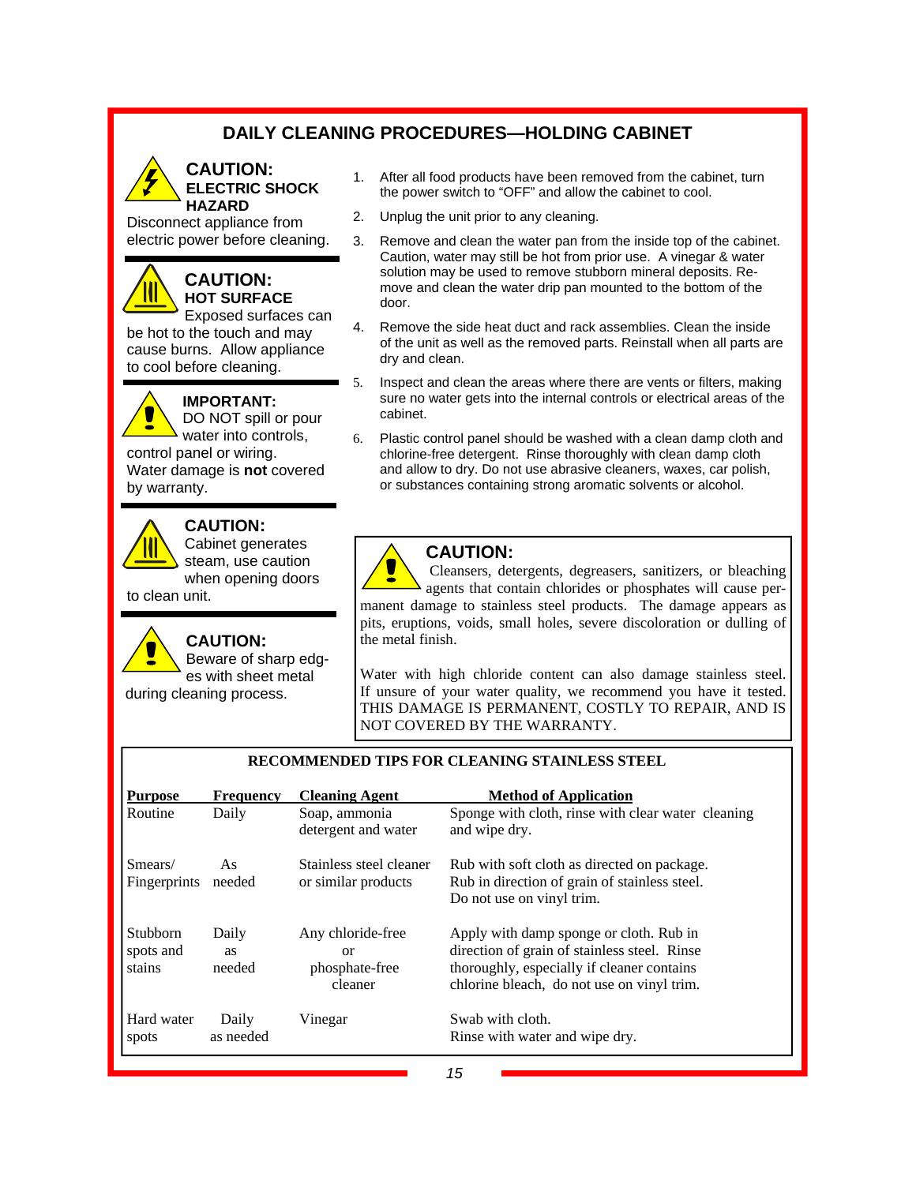### **DAILY CLEANING PROCEDURES—HOLDING CABINET**

#### **CAUTION: ELECTRIC SHOCK HAZARD**

Disconnect appliance from electric power before cleaning.

### **CAUTION: HOT SURFACE**

Exposed surfaces can be hot to the touch and may cause burns. Allow appliance to cool before cleaning.

#### **IMPORTANT:**  DO NOT spill or pour

water into controls, control panel or wiring. Water damage is **not** covered by warranty.



### **CAUTION:**

Cabinet generates steam, use caution when opening doors

to clean unit.

**CAUTION:**  Beware of sharp edges with sheet metal during cleaning process.

- 1. After all food products have been removed from the cabinet, turn the power switch to "OFF" and allow the cabinet to cool.
- 2. Unplug the unit prior to any cleaning.
- 3. Remove and clean the water pan from the inside top of the cabinet. Caution, water may still be hot from prior use. A vinegar & water solution may be used to remove stubborn mineral deposits. Remove and clean the water drip pan mounted to the bottom of the door.
- 4. Remove the side heat duct and rack assemblies. Clean the inside of the unit as well as the removed parts. Reinstall when all parts are dry and clean.
- 5. Inspect and clean the areas where there are vents or filters, making sure no water gets into the internal controls or electrical areas of the cabinet.
- 6. Plastic control panel should be washed with a clean damp cloth and chlorine-free detergent. Rinse thoroughly with clean damp cloth and allow to dry. Do not use abrasive cleaners, waxes, car polish, or substances containing strong aromatic solvents or alcohol.

# **CAUTION:**

 Cleansers, detergents, degreasers, sanitizers, or bleaching agents that contain chlorides or phosphates will cause permanent damage to stainless steel products. The damage appears as pits, eruptions, voids, small holes, severe discoloration or dulling of the metal finish.

Water with high chloride content can also damage stainless steel. If unsure of your water quality, we recommend you have it tested. THIS DAMAGE IS PERMANENT, COSTLY TO REPAIR, AND IS NOT COVERED BY THE WARRANTY.

| <b>Purpose</b>                         | <b>Frequency</b>             | <b>Cleaning Agent</b>                                      | <b>Method of Application</b>                                                                                                                                                        |
|----------------------------------------|------------------------------|------------------------------------------------------------|-------------------------------------------------------------------------------------------------------------------------------------------------------------------------------------|
| Routine                                | Daily                        | Soap, ammonia<br>detergent and water                       | Sponge with cloth, rinse with clear water cleaning<br>and wipe dry.                                                                                                                 |
| Smears/<br>Fingerprints                | As<br>needed                 | Stainless steel cleaner<br>or similar products             | Rub with soft cloth as directed on package.<br>Rub in direction of grain of stainless steel.<br>Do not use on vinyl trim.                                                           |
| <b>Stubborn</b><br>spots and<br>stains | Daily<br><b>as</b><br>needed | Any chloride-free<br>$\alpha$<br>phosphate-free<br>cleaner | Apply with damp sponge or cloth. Rub in<br>direction of grain of stainless steel. Rinse<br>thoroughly, especially if cleaner contains<br>chlorine bleach, do not use on vinyl trim. |
| Hard water<br>spots                    | Daily<br>as needed           | Vinegar                                                    | Swab with cloth.<br>Rinse with water and wipe dry.                                                                                                                                  |

### **RECOMMENDED TIPS FOR CLEANING STAINLESS STEEL**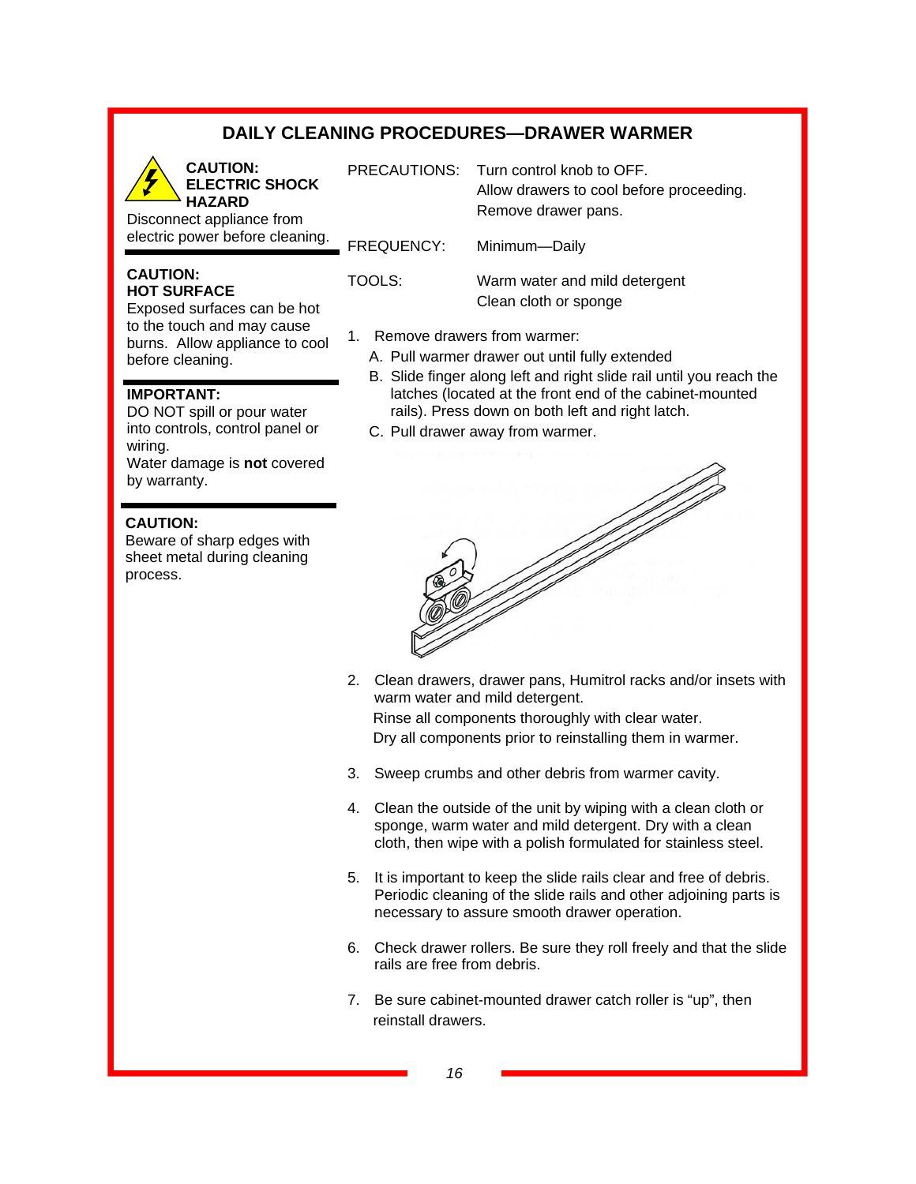### **DAILY CLEANING PROCEDURES—DRAWER WARMER**

**CAUTION: ELECTRIC SHOCK HAZARD** 

Disconnect appliance from electric power before cleaning.

#### **CAUTION: HOT SURFACE**

Exposed surfaces can be hot to the touch and may cause burns. Allow appliance to cool before cleaning.

#### **IMPORTANT:**

DO NOT spill or pour water into controls, control panel or wiring. Water damage is **not** covered by warranty.

#### **CAUTION:**

Beware of sharp edges with sheet metal during cleaning process.

PRECAUTIONS: Turn control knob to OFF. Allow drawers to cool before proceeding. Remove drawer pans.

FREQUENCY: Minimum—Daily

TOOLS: Warm water and mild detergent Clean cloth or sponge

- 1. Remove drawers from warmer:
	- A. Pull warmer drawer out until fully extended
	- B. Slide finger along left and right slide rail until you reach the latches (located at the front end of the cabinet-mounted rails). Press down on both left and right latch.
	- C. Pull drawer away from warmer.



- 2. Clean drawers, drawer pans, Humitrol racks and/or insets with warm water and mild detergent. Rinse all components thoroughly with clear water. Dry all components prior to reinstalling them in warmer.
- 3. Sweep crumbs and other debris from warmer cavity.
- 4. Clean the outside of the unit by wiping with a clean cloth or sponge, warm water and mild detergent. Dry with a clean cloth, then wipe with a polish formulated for stainless steel.
- 5. It is important to keep the slide rails clear and free of debris. Periodic cleaning of the slide rails and other adjoining parts is necessary to assure smooth drawer operation.
- 6. Check drawer rollers. Be sure they roll freely and that the slide rails are free from debris.
- 7. Be sure cabinet-mounted drawer catch roller is "up", then reinstall drawers.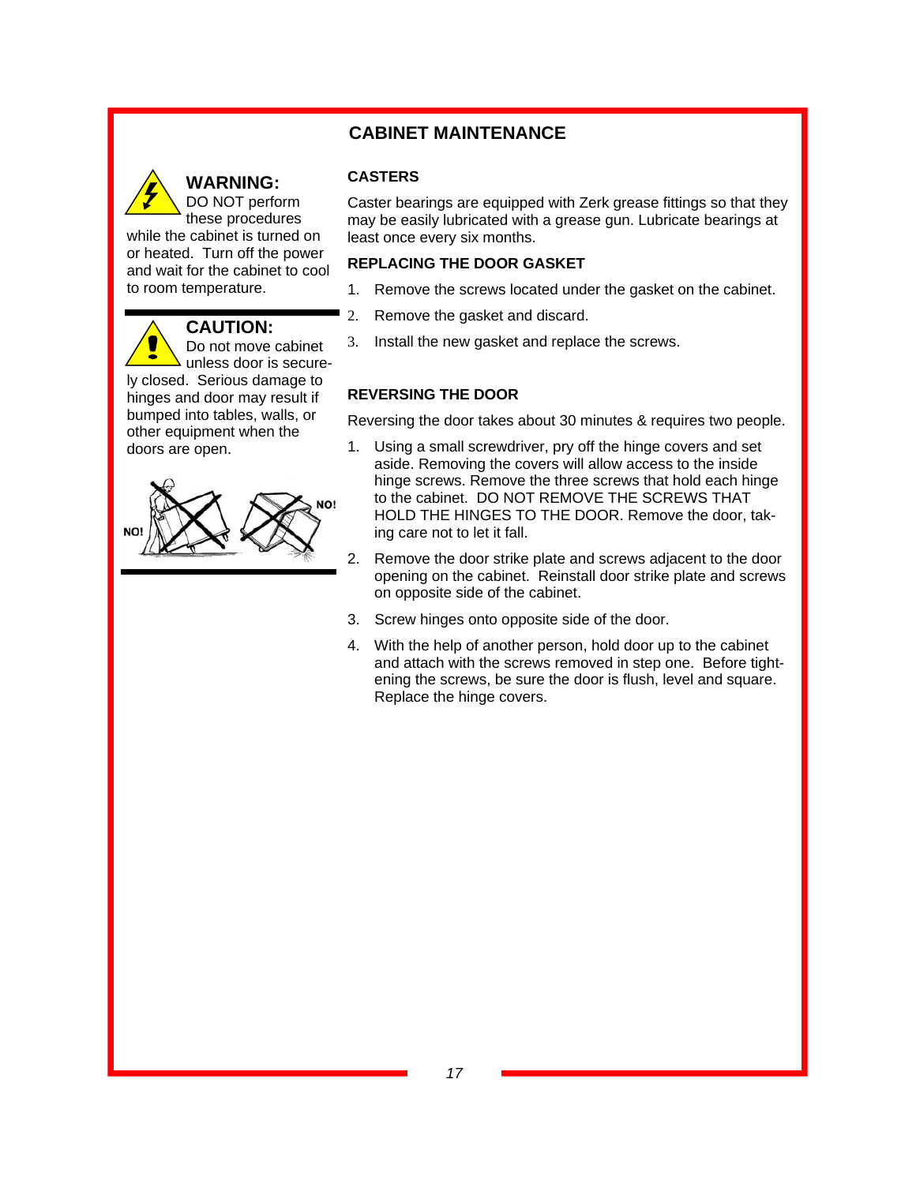### **CABINET MAINTENANCE**



### **WARNING:**

**CASTERS** 

Caster bearings are equipped with Zerk grease fittings so that they may be easily lubricated with a grease gun. Lubricate bearings at least once every six months.

#### **REPLACING THE DOOR GASKET**

- 1. Remove the screws located under the gasket on the cabinet.
- 2. Remove the gasket and discard.
- 3. Install the new gasket and replace the screws.

### **REVERSING THE DOOR**

Reversing the door takes about 30 minutes & requires two people.

- 1. Using a small screwdriver, pry off the hinge covers and set aside. Removing the covers will allow access to the inside hinge screws. Remove the three screws that hold each hinge to the cabinet. DO NOT REMOVE THE SCREWS THAT HOLD THE HINGES TO THE DOOR. Remove the door, taking care not to let it fall.
- 2. Remove the door strike plate and screws adjacent to the door opening on the cabinet. Reinstall door strike plate and screws on opposite side of the cabinet.
- 3. Screw hinges onto opposite side of the door.
- 4. With the help of another person, hold door up to the cabinet and attach with the screws removed in step one. Before tightening the screws, be sure the door is flush, level and square. Replace the hinge covers.

unless door is securely closed. Serious damage to hinges and door may result if bumped into tables, walls, or other equipment when the doors are open.

**CAUTION:**

Do not move cabinet

while the cabinet is turned on or heated. Turn off the power and wait for the cabinet to cool

to room temperature.

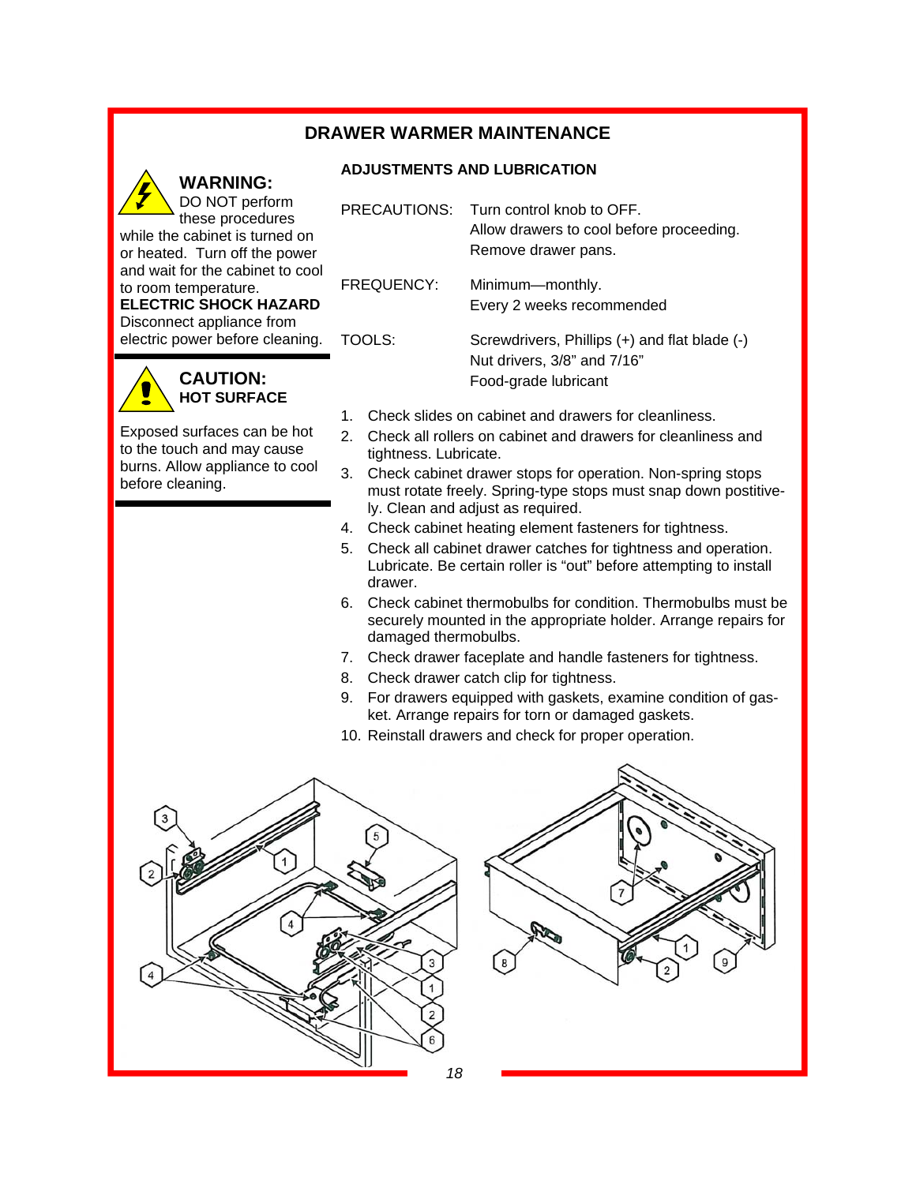### **DRAWER WARMER MAINTENANCE**

### **ADJUSTMENTS AND LUBRICATION**

**WARNING:**  DO NOT perform these procedures while the cabinet is turned on or heated. Turn off the power and wait for the cabinet to cool to room temperature. **ELECTRIC SHOCK HAZARD**  Disconnect appliance from

electric power before cleaning.

### **CAUTION: HOT SURFACE**

Exposed surfaces can be hot to the touch and may cause burns. Allow appliance to cool before cleaning.

- PRECAUTIONS: Turn control knob to OFF. Allow drawers to cool before proceeding. Remove drawer pans. FREQUENCY: Minimum—monthly. Every 2 weeks recommended TOOLS: Screwdrivers, Phillips (+) and flat blade (-) Nut drivers, 3/8" and 7/16" Food-grade lubricant
- 1. Check slides on cabinet and drawers for cleanliness.
- 2. Check all rollers on cabinet and drawers for cleanliness and tightness. Lubricate.
- 3. Check cabinet drawer stops for operation. Non-spring stops must rotate freely. Spring-type stops must snap down postitively. Clean and adjust as required.
- 4. Check cabinet heating element fasteners for tightness.
- 5. Check all cabinet drawer catches for tightness and operation. Lubricate. Be certain roller is "out" before attempting to install drawer.
- 6. Check cabinet thermobulbs for condition. Thermobulbs must be securely mounted in the appropriate holder. Arrange repairs for damaged thermobulbs.
- 7. Check drawer faceplate and handle fasteners for tightness.
- 8. Check drawer catch clip for tightness.
- 9. For drawers equipped with gaskets, examine condition of gasket. Arrange repairs for torn or damaged gaskets.
- 10. Reinstall drawers and check for proper operation.



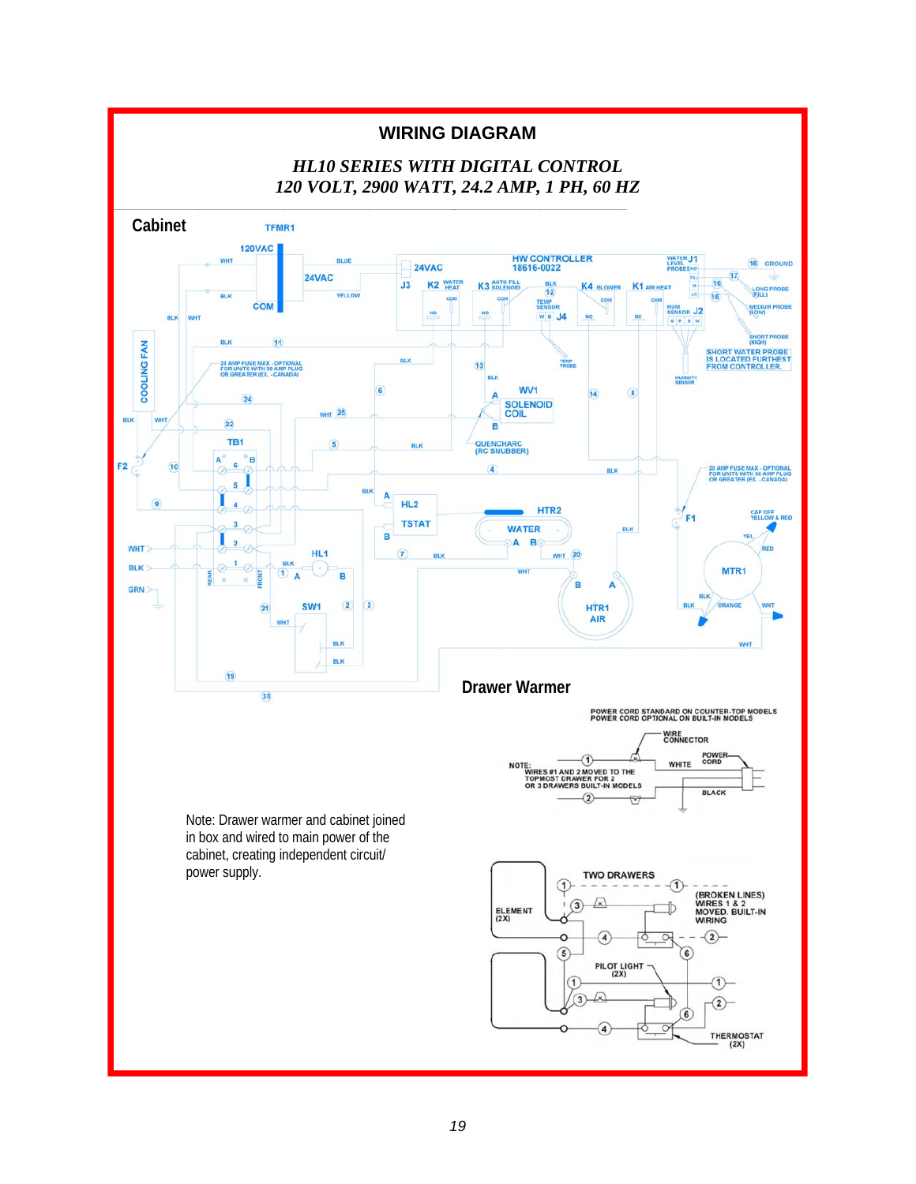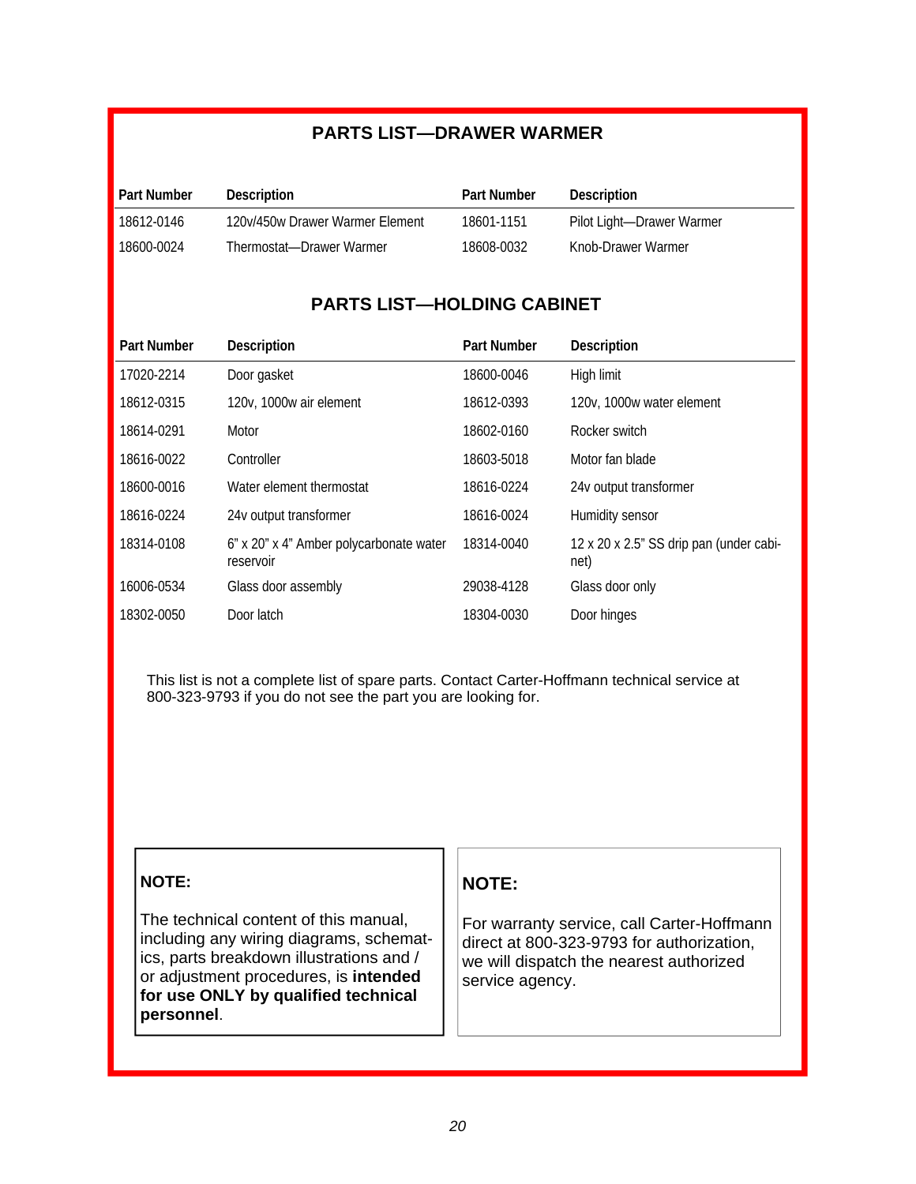## **PARTS LIST—DRAWER WARMER**

| <b>Part Number</b>  | Description                     | <b>Part Number</b> | Description                |
|---------------------|---------------------------------|--------------------|----------------------------|
| <b>18612-0146</b> * | 120v/450w Drawer Warmer Element | 18601-1151         | Pilot Light--Drawer Warmer |
| 18600-0024          | Thermostat-Drawer Warmer        | 18608-0032         | Knob-Drawer Warmer         |

### **PARTS LIST—HOLDING CABINET**

| <b>Part Number</b> | Description                                          | <b>Part Number</b> | <b>Description</b>                              |
|--------------------|------------------------------------------------------|--------------------|-------------------------------------------------|
| 17020-2214         | Door gasket                                          | 18600-0046         | High limit                                      |
| 18612-0315         | 120v, 1000w air element                              | 18612-0393         | 120v, 1000w water element                       |
| 18614-0291         | Motor                                                | 18602-0160         | Rocker switch                                   |
| 18616-0022         | Controller                                           | 18603-5018         | Motor fan blade                                 |
| 18600-0016         | Water element thermostat                             | 18616-0224         | 24v output transformer                          |
| 18616-0224         | 24v output transformer                               | 18616-0024         | Humidity sensor                                 |
| 18314-0108         | 6" x 20" x 4" Amber polycarbonate water<br>reservoir | 18314-0040         | 12 x 20 x 2.5" SS drip pan (under cabi-<br>net) |
| 16006-0534         | Glass door assembly                                  | 29038-4128         | Glass door only                                 |
| 18302-0050         | Door latch                                           | 18304-0030         | Door hinges                                     |

This list is not a complete list of spare parts. Contact Carter-Hoffmann technical service at 800-323-9793 if you do not see the part you are looking for.

### **NOTE:**

The technical content of this manual, including any wiring diagrams, schematics, parts breakdown illustrations and / or adjustment procedures, is **intended for use ONLY by qualified technical personnel**.

### **NOTE:**

For warranty service, call Carter-Hoffmann direct at 800-323-9793 for authorization, we will dispatch the nearest authorized service agency.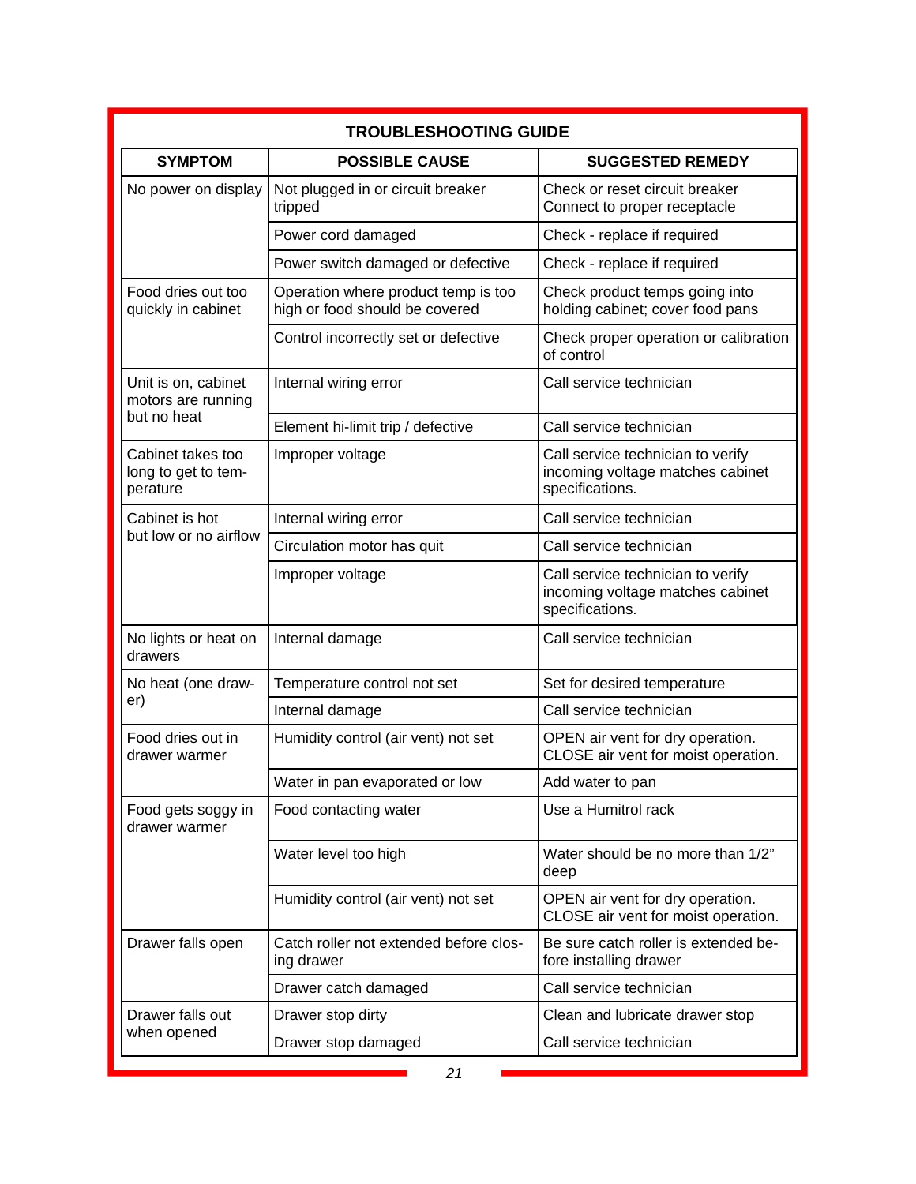|                                                          | <b>TROUBLESHOOTING GUIDE</b>                                          |                                                                                          |  |  |  |  |
|----------------------------------------------------------|-----------------------------------------------------------------------|------------------------------------------------------------------------------------------|--|--|--|--|
| <b>SYMPTOM</b>                                           | <b>POSSIBLE CAUSE</b>                                                 | <b>SUGGESTED REMEDY</b>                                                                  |  |  |  |  |
| No power on display                                      | Not plugged in or circuit breaker<br>tripped                          | Check or reset circuit breaker<br>Connect to proper receptacle                           |  |  |  |  |
|                                                          | Power cord damaged                                                    | Check - replace if required                                                              |  |  |  |  |
|                                                          | Power switch damaged or defective                                     | Check - replace if required                                                              |  |  |  |  |
| Food dries out too<br>quickly in cabinet                 | Operation where product temp is too<br>high or food should be covered | Check product temps going into<br>holding cabinet; cover food pans                       |  |  |  |  |
|                                                          | Control incorrectly set or defective                                  | Check proper operation or calibration<br>of control                                      |  |  |  |  |
| Unit is on, cabinet<br>motors are running<br>but no heat | Internal wiring error                                                 | Call service technician                                                                  |  |  |  |  |
|                                                          | Element hi-limit trip / defective                                     | Call service technician                                                                  |  |  |  |  |
| Cabinet takes too<br>long to get to tem-<br>perature     | Improper voltage                                                      | Call service technician to verify<br>incoming voltage matches cabinet<br>specifications. |  |  |  |  |
| Cabinet is hot                                           | Internal wiring error                                                 | Call service technician                                                                  |  |  |  |  |
| but low or no airflow                                    | Circulation motor has quit                                            | Call service technician                                                                  |  |  |  |  |
|                                                          | Improper voltage                                                      | Call service technician to verify<br>incoming voltage matches cabinet<br>specifications. |  |  |  |  |
| No lights or heat on<br>drawers                          | Internal damage                                                       | Call service technician                                                                  |  |  |  |  |
| No heat (one draw-                                       | Temperature control not set                                           | Set for desired temperature                                                              |  |  |  |  |
| er)                                                      | Internal damage                                                       | Call service technician                                                                  |  |  |  |  |
| Food dries out in<br>drawer warmer                       | Humidity control (air vent) not set                                   | OPEN air vent for dry operation.<br>CLOSE air vent for moist operation.                  |  |  |  |  |
|                                                          | Water in pan evaporated or low                                        | Add water to pan                                                                         |  |  |  |  |
| Food gets soggy in<br>drawer warmer                      | Food contacting water                                                 | Use a Humitrol rack                                                                      |  |  |  |  |
|                                                          | Water level too high                                                  | Water should be no more than 1/2"<br>deep                                                |  |  |  |  |
|                                                          | Humidity control (air vent) not set                                   | OPEN air vent for dry operation.<br>CLOSE air vent for moist operation.                  |  |  |  |  |
| Drawer falls open                                        | Catch roller not extended before clos-<br>ing drawer                  | Be sure catch roller is extended be-<br>fore installing drawer                           |  |  |  |  |
|                                                          | Drawer catch damaged                                                  | Call service technician                                                                  |  |  |  |  |
| Drawer falls out                                         | Drawer stop dirty                                                     | Clean and lubricate drawer stop                                                          |  |  |  |  |
| when opened                                              | Drawer stop damaged                                                   | Call service technician                                                                  |  |  |  |  |